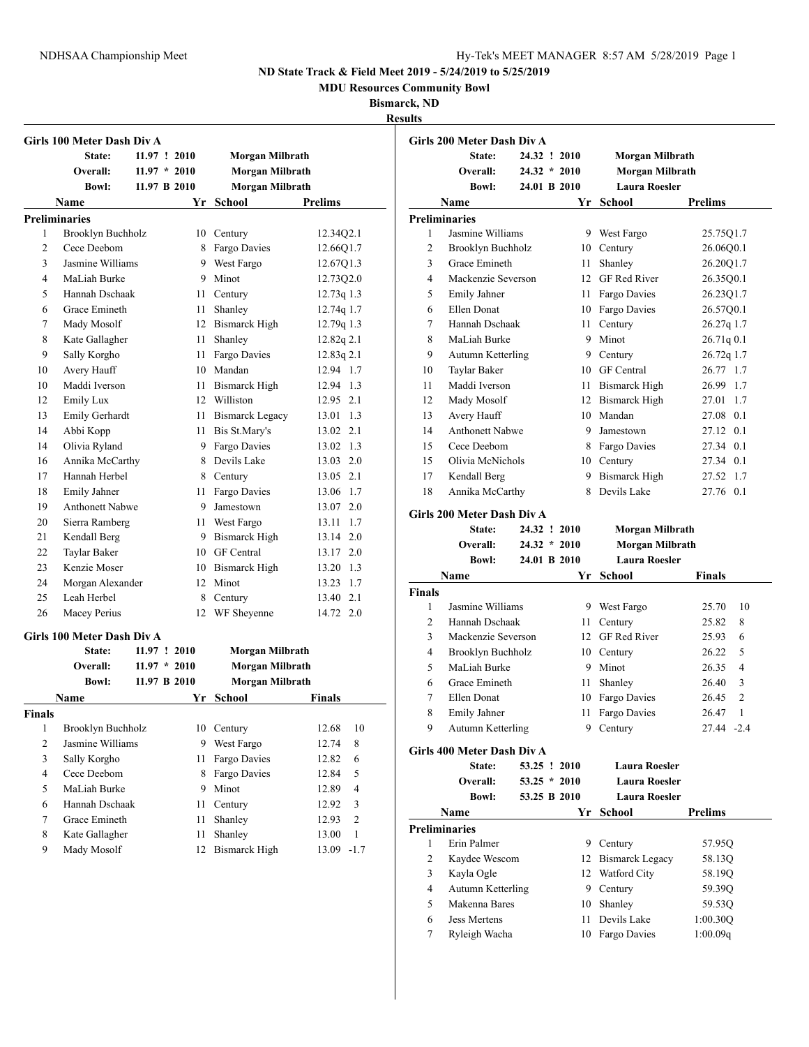**MDU Resources Community Bowl**

**Bismarck, ND**

| <b>Results</b> |  |
|----------------|--|
|                |  |

|                | Girls 100 Meter Dash Div A |                |      |                        |                       |
|----------------|----------------------------|----------------|------|------------------------|-----------------------|
|                | State:                     | 11.97 : 2010   |      | Morgan Milbrath        |                       |
|                | Overall:                   | $11.97 * 2010$ |      | Morgan Milbrath        |                       |
|                | <b>Bowl:</b>               | 11.97 B 2010   |      | Morgan Milbrath        |                       |
|                | Name                       |                |      | Yr School              | <b>Prelims</b>        |
|                | <b>Preliminaries</b>       |                |      |                        |                       |
| 1              | Brooklyn Buchholz          |                |      | 10 Century             | 12.34Q2.1             |
| $\overline{c}$ | Cece Deebom                |                |      | 8 Fargo Davies         | 12.66Q1.7             |
| 3              | Jasmine Williams           |                |      | 9 West Fargo           | 12.67Q1.3             |
| 4              | MaLiah Burke               |                |      | 9 Minot                | 12.7302.0             |
| 5              | Hannah Dschaak             |                |      | 11 Century             | $12.73q$ 1.3          |
| 6              | Grace Emineth              |                |      | 11 Shanley             | 12.74q 1.7            |
| 7              | Mady Mosolf                |                |      | 12 Bismarck High       | 12.79q 1.3            |
| 8              | Kate Gallagher             |                | 11   | Shanley                | 12.82q 2.1            |
| 9              | Sally Korgho               |                | 11 - | Fargo Davies           | 12.83q 2.1            |
| 10             | Avery Hauff                |                |      | 10 Mandan              | 12.94 1.7             |
| 10             | Maddi Iverson              |                |      | 11 Bismarck High       | 12.94 1.3             |
| 12             | Emily Lux                  |                |      | 12 Williston           | 12.95 2.1             |
| 13             | Emily Gerhardt             |                | 11   | <b>Bismarck Legacy</b> | 13.01 1.3             |
| 14             | Abbi Kopp                  |                |      | 11 Bis St.Mary's       | 13.02 2.1             |
| 14             | Olivia Ryland              |                |      | 9 Fargo Davies         | 13.02 1.3             |
| 16             | Annika McCarthy            |                |      | 8 Devils Lake          | 13.03 2.0             |
| 17             | Hannah Herbel              |                |      | 8 Century              | 13.05 2.1             |
| 18             | Emily Jahner               |                |      | 11 Fargo Davies        | 13.06 1.7             |
| 19             | <b>Anthonett Nabwe</b>     |                |      | 9 Jamestown            | 13.07 2.0             |
| 20             | Sierra Ramberg             |                |      | 11 West Fargo          | 13.11 1.7             |
| 21             | Kendall Berg               |                |      | 9 Bismarck High        | 13.14 2.0             |
| 22             | Taylar Baker               |                |      | 10 GF Central          | 13.17 2.0             |
| 23             | Kenzie Moser               |                |      | 10 Bismarck High       | 13.20 1.3             |
| 24             | Morgan Alexander           |                |      | 12 Minot               | 13.23 1.7             |
| 25             | Leah Herbel                |                | 8    | Century                | 13.40 2.1             |
| 26             | Macey Perius               |                | 12   | WF Sheyenne            | 14.72 2.0             |
|                | Girls 100 Meter Dash Div A |                |      |                        |                       |
|                | State:                     | 11.97 ! 2010   |      | Morgan Milbrath        |                       |
|                | Overall:                   | $11.97 * 2010$ |      | Morgan Milbrath        |                       |
|                | <b>Bowl:</b>               | 11.97 B 2010   |      | <b>Morgan Milbrath</b> |                       |
|                | <b>Name</b>                |                |      | Yr School              | <b>Finals</b>         |
| Finals         |                            |                |      |                        |                       |
| 1              | Brooklyn Buchholz          |                | 10   | Century                | 12.68<br>10           |
| 2              | Jasmine Williams           |                | 9    | West Fargo             | 12.74<br>8            |
| 3              | Sally Korgho               |                | 11   | Fargo Davies           | 12.82<br>6            |
| 4              | Cece Deebom                |                | 8    | Fargo Davies           | 5<br>12.84            |
| 5              | MaLiah Burke               |                | 9    | Minot                  | 4<br>12.89            |
| 6              | Hannah Dschaak             |                | 11   | Century                | 12.92<br>3            |
| 7              | Grace Emineth              |                | 11   | Shanley                | $\mathbf{2}$<br>12.93 |
| 8              | Kate Gallagher             |                | 11   | Shanley                | 13.00<br>$\mathbf{1}$ |
| 9              | Mady Mosolf                |                | 12   | <b>Bismarck High</b>   | $-1.7$<br>13.09       |

| 24.32 ! 2010<br>Morgan Milbrath<br>State:<br>Overall:<br>Morgan Milbrath<br>$24.32 * 2010$<br><b>Laura Roesler</b><br><b>Bowl:</b><br>24.01 B 2010<br><b>Prelims</b><br>Yr<br>School<br>Name<br><b>Preliminaries</b><br>Jasmine Williams<br>9<br>1<br>West Fargo<br>$\overline{c}$<br>Brooklyn Buchholz<br>10<br>Century<br>3<br>Grace Emineth<br>Shanley<br>11<br><b>GF Red River</b><br>$\overline{4}$<br>Mackenzie Severson<br>12<br>5<br><b>Emily Jahner</b><br>Fargo Davies<br>11<br>Ellen Donat<br>6<br>Fargo Davies<br>10<br>7<br>Hannah Dschaak<br>11<br>Century<br>Minot<br>8<br>MaLiah Burke<br>9<br>9<br>Autumn Ketterling<br>9<br>Century<br><b>GF</b> Central<br>10<br>Taylar Baker<br>10<br>Maddi Iverson<br>11<br>Bismarck High<br>11<br>Mady Mosolf<br><b>Bismarck High</b><br>27.01<br>12<br>12<br>13<br>Avery Hauff<br>Mandan<br>10<br>14<br><b>Anthonett Nabwe</b><br>9<br>Jamestown<br>15<br>Cece Deebom<br>Fargo Davies<br>8<br>Olivia McNichols<br>15<br>10<br>Century<br>17<br>Kendall Berg<br>Bismarck High<br>9<br>27.52<br>18<br>Devils Lake<br>Annika McCarthy<br>27.76<br>8 | Girls 200 Meter Dash Div A |  |            |
|---------------------------------------------------------------------------------------------------------------------------------------------------------------------------------------------------------------------------------------------------------------------------------------------------------------------------------------------------------------------------------------------------------------------------------------------------------------------------------------------------------------------------------------------------------------------------------------------------------------------------------------------------------------------------------------------------------------------------------------------------------------------------------------------------------------------------------------------------------------------------------------------------------------------------------------------------------------------------------------------------------------------------------------------------------------------------------------------------------|----------------------------|--|------------|
|                                                                                                                                                                                                                                                                                                                                                                                                                                                                                                                                                                                                                                                                                                                                                                                                                                                                                                                                                                                                                                                                                                         |                            |  |            |
|                                                                                                                                                                                                                                                                                                                                                                                                                                                                                                                                                                                                                                                                                                                                                                                                                                                                                                                                                                                                                                                                                                         |                            |  |            |
|                                                                                                                                                                                                                                                                                                                                                                                                                                                                                                                                                                                                                                                                                                                                                                                                                                                                                                                                                                                                                                                                                                         |                            |  |            |
|                                                                                                                                                                                                                                                                                                                                                                                                                                                                                                                                                                                                                                                                                                                                                                                                                                                                                                                                                                                                                                                                                                         |                            |  |            |
|                                                                                                                                                                                                                                                                                                                                                                                                                                                                                                                                                                                                                                                                                                                                                                                                                                                                                                                                                                                                                                                                                                         |                            |  |            |
|                                                                                                                                                                                                                                                                                                                                                                                                                                                                                                                                                                                                                                                                                                                                                                                                                                                                                                                                                                                                                                                                                                         |                            |  | 25.75Q1.7  |
|                                                                                                                                                                                                                                                                                                                                                                                                                                                                                                                                                                                                                                                                                                                                                                                                                                                                                                                                                                                                                                                                                                         |                            |  | 26.06Q0.1  |
|                                                                                                                                                                                                                                                                                                                                                                                                                                                                                                                                                                                                                                                                                                                                                                                                                                                                                                                                                                                                                                                                                                         |                            |  | 26.2001.7  |
|                                                                                                                                                                                                                                                                                                                                                                                                                                                                                                                                                                                                                                                                                                                                                                                                                                                                                                                                                                                                                                                                                                         |                            |  | 26.3500.1  |
|                                                                                                                                                                                                                                                                                                                                                                                                                                                                                                                                                                                                                                                                                                                                                                                                                                                                                                                                                                                                                                                                                                         |                            |  | 26.23Q1.7  |
|                                                                                                                                                                                                                                                                                                                                                                                                                                                                                                                                                                                                                                                                                                                                                                                                                                                                                                                                                                                                                                                                                                         |                            |  | 26.57Q0.1  |
|                                                                                                                                                                                                                                                                                                                                                                                                                                                                                                                                                                                                                                                                                                                                                                                                                                                                                                                                                                                                                                                                                                         |                            |  | 26.27q 1.7 |
|                                                                                                                                                                                                                                                                                                                                                                                                                                                                                                                                                                                                                                                                                                                                                                                                                                                                                                                                                                                                                                                                                                         |                            |  | 26.71q0.1  |
|                                                                                                                                                                                                                                                                                                                                                                                                                                                                                                                                                                                                                                                                                                                                                                                                                                                                                                                                                                                                                                                                                                         |                            |  | 26.72q 1.7 |
|                                                                                                                                                                                                                                                                                                                                                                                                                                                                                                                                                                                                                                                                                                                                                                                                                                                                                                                                                                                                                                                                                                         |                            |  | 26.77 1.7  |
|                                                                                                                                                                                                                                                                                                                                                                                                                                                                                                                                                                                                                                                                                                                                                                                                                                                                                                                                                                                                                                                                                                         |                            |  | 26.99 1.7  |
|                                                                                                                                                                                                                                                                                                                                                                                                                                                                                                                                                                                                                                                                                                                                                                                                                                                                                                                                                                                                                                                                                                         |                            |  | 1.7        |
|                                                                                                                                                                                                                                                                                                                                                                                                                                                                                                                                                                                                                                                                                                                                                                                                                                                                                                                                                                                                                                                                                                         |                            |  | 27.08 0.1  |
|                                                                                                                                                                                                                                                                                                                                                                                                                                                                                                                                                                                                                                                                                                                                                                                                                                                                                                                                                                                                                                                                                                         |                            |  | 27.12 0.1  |
|                                                                                                                                                                                                                                                                                                                                                                                                                                                                                                                                                                                                                                                                                                                                                                                                                                                                                                                                                                                                                                                                                                         |                            |  | 27.34 0.1  |
|                                                                                                                                                                                                                                                                                                                                                                                                                                                                                                                                                                                                                                                                                                                                                                                                                                                                                                                                                                                                                                                                                                         |                            |  | 27.34 0.1  |
|                                                                                                                                                                                                                                                                                                                                                                                                                                                                                                                                                                                                                                                                                                                                                                                                                                                                                                                                                                                                                                                                                                         |                            |  | 1.7        |
|                                                                                                                                                                                                                                                                                                                                                                                                                                                                                                                                                                                                                                                                                                                                                                                                                                                                                                                                                                                                                                                                                                         |                            |  | 0.1        |

#### **Girls 200 Meter Dash Div A**

|                | State:                     |                | 24.32 ! 2010 | Morgan Milbrath        |                         |
|----------------|----------------------------|----------------|--------------|------------------------|-------------------------|
|                | Overall:                   | $24.32 * 2010$ |              | Morgan Milbrath        |                         |
|                | <b>Bowl:</b>               | 24.01 B 2010   |              | <b>Laura Roesler</b>   |                         |
|                | Name                       |                | Yr           | School                 | Finals                  |
| <b>Finals</b>  |                            |                |              |                        |                         |
| 1              | Jasmine Williams           |                | 9            | West Fargo             | 10<br>25.70             |
| 2              | Hannah Dschaak             |                | 11           | Century                | 8<br>25.82              |
| 3              | Mackenzie Severson         |                | 12           | <b>GF Red River</b>    | 25.93<br>6              |
| $\overline{4}$ | Brooklyn Buchholz          |                | 10           | Century                | 5<br>26.22              |
| 5              | MaLiah Burke               |                | 9            | Minot                  | $\overline{4}$<br>26.35 |
| 6              | Grace Emineth              |                | 11           | Shanley                | 26.40<br>3              |
| 7              | Ellen Donat                |                | 10           | Fargo Davies           | 26.45<br>2              |
| 8              | Emily Jahner               |                | 11           | Fargo Davies           | 1<br>26.47              |
| 9              | Autumn Ketterling          |                | 9            | Century                | 27.44 -2.4              |
|                | Girls 400 Meter Dash Div A |                |              |                        |                         |
|                | State:                     | 53.25 ! 2010   |              | <b>Laura Roesler</b>   |                         |
|                | Overall:                   | $53.25 * 2010$ |              | <b>Laura Roesler</b>   |                         |
|                | <b>Bowl:</b>               | 53.25 B 2010   |              | <b>Laura Roesler</b>   |                         |
|                | Name                       |                | Yr           | School                 | <b>Prelims</b>          |
|                | <b>Preliminaries</b>       |                |              |                        |                         |
| 1              | Erin Palmer                |                | 9            | Century                | 57.95Q                  |
| 2              | Kaydee Wescom              |                | 12           | <b>Bismarck Legacy</b> | 58.13Q                  |
| 3              | Kayla Ogle                 |                | 12           | Watford City           | 58.19Q                  |
| 4              | Autumn Ketterling          |                | 9            | Century                | 59.39Q                  |
| 5              | Makenna Bares              |                | 10           | Shanley                | 59.53Q                  |
| 6              | <b>Jess Mertens</b>        |                | 11           | Devils Lake            | 1:00.30Q                |
| 7              | Ryleigh Wacha              |                | 10           | Fargo Davies           | 1:00.09q                |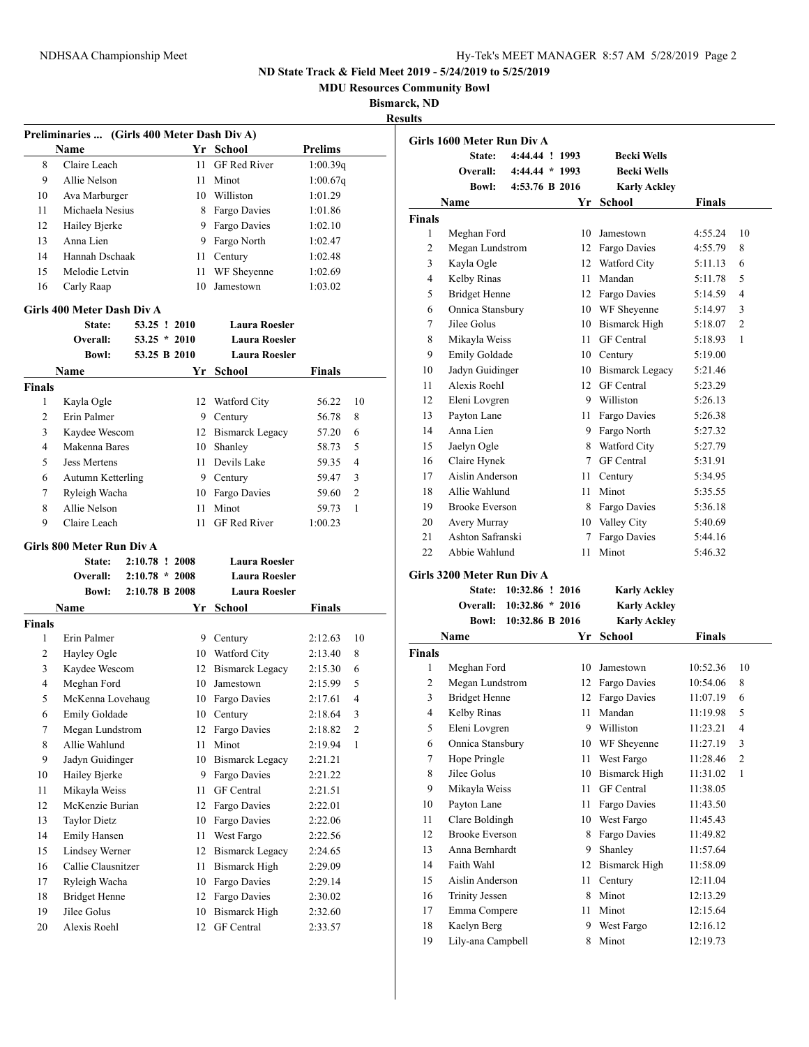**MDU Resources Community Bowl**

### **Bismarck, ND**

**Results**

|               | Preliminaries  (Girls 400 Meter Dash Div A) |                  |          |                                    |                    |                |
|---------------|---------------------------------------------|------------------|----------|------------------------------------|--------------------|----------------|
|               | Name                                        |                  |          | Yr School                          | <b>Prelims</b>     |                |
| 8             | Claire Leach                                |                  | 11       | <b>GF</b> Red River                | 1:00.39q           |                |
| 9             | Allie Nelson                                |                  | 11 -     | Minot                              | 1:00.67q           |                |
| 10            | Ava Marburger                               |                  |          | 10 Williston                       | 1:01.29            |                |
| 11            | Michaela Nesius                             |                  |          | 8 Fargo Davies                     | 1:01.86            |                |
| 12            | Hailey Bjerke                               |                  |          | 9 Fargo Davies                     | 1:02.10            |                |
| 13            | Anna Lien                                   |                  |          | 9 Fargo North                      | 1:02.47            |                |
| 14            | Hannah Dschaak                              |                  | 11 -     | Century                            | 1:02.48            |                |
| 15            | Melodie Letvin                              |                  | 11       | WF Sheyenne                        | 1:02.69            |                |
| 16            | Carly Raap                                  |                  | 10       | Jamestown                          | 1:03.02            |                |
|               | Girls 400 Meter Dash Div A                  |                  |          |                                    |                    |                |
|               | State:                                      | 53.25 ! 2010     |          | <b>Laura Roesler</b>               |                    |                |
|               | <b>Overall:</b>                             | $53.25 * 2010$   |          | <b>Laura Roesler</b>               |                    |                |
|               | <b>Bowl:</b>                                | 53.25 B 2010     |          | <b>Laura Roesler</b>               |                    |                |
|               | Name                                        |                  | Yr       | School                             | Finals             |                |
| Finals        |                                             |                  |          |                                    |                    |                |
| 1             | Kayla Ogle                                  |                  |          | 12 Watford City                    | 56.22              | 10             |
| 2             | Erin Palmer                                 |                  |          | 9 Century                          | 56.78              | 8              |
| 3             | Kaydee Wescom                               |                  |          | 12 Bismarck Legacy                 | 57.20              | 6              |
| 4             | Makenna Bares                               |                  |          | 10 Shanley                         | 58.73              | 5              |
| 5             | Jess Mertens                                |                  |          | 11 Devils Lake                     | 59.35              | 4              |
| 6             | Autumn Ketterling                           |                  |          | 9 Century                          | 59.47              | 3              |
| 7             | Ryleigh Wacha                               |                  |          | 10 Fargo Davies                    | 59.60              | $\overline{c}$ |
| 8             | Allie Nelson                                |                  |          | 11 Minot                           | 59.73              | 1              |
| 9             | Claire Leach                                |                  | 11       | <b>GF</b> Red River                | 1:00.23            |                |
|               |                                             |                  |          |                                    |                    |                |
|               | Girls 800 Meter Run Div A                   |                  |          |                                    |                    |                |
|               | State:                                      | 2:10.78 ! 2008   |          | Laura Roesler                      |                    |                |
|               | Overall:                                    | $2:10.78 * 2008$ |          | <b>Laura Roesler</b>               |                    |                |
|               | <b>Bowl:</b>                                | 2:10.78 B 2008   |          | <b>Laura Roesler</b>               |                    |                |
|               | Name                                        |                  |          | Yr School                          | <b>Finals</b>      |                |
| <b>Finals</b> |                                             |                  |          |                                    |                    |                |
| 1             | Erin Palmer                                 |                  |          | 9 Century                          | 2:12.63            | 10             |
| 2             | Hayley Ogle                                 |                  |          | 10 Watford City                    | 2:13.40            | 8              |
| 3             | Kaydee Wescom                               |                  |          | 12 Bismarck Legacy                 | 2:15.30            | 6              |
| 4             | Meghan Ford                                 |                  |          | 10 Jamestown                       | 2:15.99            | 5              |
| 5             | McKenna Lovehaug                            |                  |          | 10 Fargo Davies                    | 2:17.61            | 4              |
| 6             | Emily Goldade                               |                  |          | 10 Century                         | 2:18.64            | 3              |
| 7             | Megan Lundstrom                             |                  |          | 12 Fargo Davies                    | 2:18.82            | 2              |
| 8             | Allie Wahlund                               |                  | 11       | Minot                              | 2:19.94            | 1              |
| 9             | Jadyn Guidinger                             |                  | 10       | <b>Bismarck Legacy</b>             | 2:21.21            |                |
| 10            | Hailey Bjerke                               |                  | 9.       | Fargo Davies                       | 2:21.22            |                |
| 11            | Mikayla Weiss                               |                  | 11       | GF Central                         | 2:21.51            |                |
| 12            | McKenzie Burian                             |                  |          | 12 Fargo Davies                    | 2:22.01            |                |
| 13            | <b>Taylor Dietz</b>                         |                  | 10       | Fargo Davies                       | 2:22.06            |                |
| 14            | Emily Hansen                                |                  | 11       | West Fargo                         | 2:22.56            |                |
| 15            | Lindsey Werner                              |                  | 12       | <b>Bismarck Legacy</b>             | 2:24.65            |                |
| 16            | Callie Clausnitzer                          |                  | 11       | <b>Bismarck High</b>               | 2:29.09            |                |
| 17            | Ryleigh Wacha                               |                  |          | 10 Fargo Davies                    | 2:29.14            |                |
| 18            | <b>Bridget Henne</b>                        |                  |          | 12 Fargo Davies                    | 2:30.02            |                |
| 19<br>20      | Jilee Golus<br>Alexis Roehl                 |                  | 10<br>12 | <b>Bismarck High</b><br>GF Central | 2:32.60<br>2:33.57 |                |

|                | Girls 1600 Meter Run Div A |                |    |                      |               |                |
|----------------|----------------------------|----------------|----|----------------------|---------------|----------------|
|                | State:                     | 4:44.44 ! 1993 |    | <b>Becki Wells</b>   |               |                |
|                | Overall:                   | $4:44.44*1993$ |    | <b>Becki Wells</b>   |               |                |
|                | <b>Bowl:</b>               | 4:53.76 B 2016 |    | <b>Karly Ackley</b>  |               |                |
|                | Name                       |                | Yr | <b>School</b>        | <b>Finals</b> |                |
| <b>Finals</b>  |                            |                |    |                      |               |                |
| $\mathbf{1}$   | Meghan Ford                |                | 10 | Jamestown            | 4:55.24       | 10             |
| $\overline{c}$ | Megan Lundstrom            |                |    | 12 Fargo Davies      | 4:55.79       | 8              |
| 3              | Kayla Ogle                 |                | 12 | Watford City         | 5:11.13       | 6              |
| $\overline{4}$ | Kelby Rinas                |                | 11 | Mandan               | 5:11.78       | 5              |
| 5              | <b>Bridget Henne</b>       |                | 12 | Fargo Davies         | 5:14.59       | 4              |
| 6              | Onnica Stansbury           |                |    | 10 WF Sheyenne       | 5:14.97       | 3              |
| 7              | Jilee Golus                |                | 10 | <b>Bismarck High</b> | 5:18.07       | $\overline{2}$ |
| 8              | Mikayla Weiss              |                | 11 | GF Central           | 5:18.93       | 1              |
| 9              | Emily Goldade              |                | 10 | Century              | 5:19.00       |                |
| 10             | Jadyn Guidinger            |                |    | 10 Bismarck Legacy   | 5:21.46       |                |
| 11             | Alexis Roehl               |                | 12 | <b>GF</b> Central    | 5:23.29       |                |
| 12             | Eleni Lovgren              |                |    | 9 Williston          | 5:26.13       |                |
| 13             | Payton Lane                |                | 11 | Fargo Davies         | 5:26.38       |                |
| 14             | Anna Lien                  |                |    | 9 Fargo North        | 5:27.32       |                |
| 15             | Jaelyn Ogle                |                | 8  | Watford City         | 5:27.79       |                |
| 16             | Claire Hynek               |                | 7  | <b>GF</b> Central    | 5:31.91       |                |
| 17             | Aislin Anderson            |                | 11 | Century              | 5:34.95       |                |
| 18             | Allie Wahlund              |                | 11 | Minot                | 5:35.55       |                |
| 19             | <b>Brooke Everson</b>      |                | 8  | Fargo Davies         | 5:36.18       |                |
| 20             | Avery Murray               |                | 10 | Valley City          | 5:40.69       |                |
| 21             | Ashton Safranski           |                | 7  | Fargo Davies         | 5:44.16       |                |
| 22             | Abbie Wahlund              |                | 11 | Minot                | 5:46.32       |                |
|                | Cirls 2200 Motor Dun Div A |                |    |                      |               |                |

#### **Girls 3200 Meter Run Div A**

| State: 10:32.86 ! 2016   | <b>Karly Ackley</b> |
|--------------------------|---------------------|
| Overall: 10:32.86 * 2016 | <b>Karly Ackley</b> |
| Bowl: 10:32.86 B 2016    | <b>Karly Ackley</b> |

|        | Name                  |    | <b>School</b>     | <b>Finals</b> |                |
|--------|-----------------------|----|-------------------|---------------|----------------|
| Finals |                       |    |                   |               |                |
| 1      | Meghan Ford           | 10 | Jamestown         | 10:52.36      | 10             |
| 2      | Megan Lundstrom       | 12 | Fargo Davies      | 10:54.06      | 8              |
| 3      | <b>Bridget Henne</b>  | 12 | Fargo Davies      | 11:07.19      | 6              |
| 4      | Kelby Rinas           | 11 | Mandan            | 11:19.98      | 5              |
| 5      | Eleni Lovgren         | 9  | Williston         | 11:23.21      | $\overline{4}$ |
| 6      | Onnica Stansbury      | 10 | WF Sheyenne       | 11:27.19      | 3              |
| 7      | Hope Pringle          | 11 | West Fargo        | 11:28.46      | $\overline{2}$ |
| 8      | Jilee Golus           | 10 | Bismarck High     | 11:31.02      | 1              |
| 9      | Mikayla Weiss         | 11 | <b>GF</b> Central | 11:38.05      |                |
| 10     | Payton Lane           | 11 | Fargo Davies      | 11:43.50      |                |
| 11     | Clare Boldingh        | 10 | West Fargo        | 11:45.43      |                |
| 12     | <b>Brooke Everson</b> | 8  | Fargo Davies      | 11:49.82      |                |
| 13     | Anna Bernhardt        | 9  | Shanley           | 11:57.64      |                |
| 14     | Faith Wahl            | 12 | Bismarck High     | 11:58.09      |                |
| 15     | Aislin Anderson       | 11 | Century           | 12:11.04      |                |
| 16     | <b>Trinity Jessen</b> | 8  | Minot             | 12:13.29      |                |
| 17     | Emma Compere          | 11 | Minot             | 12:15.64      |                |
| 18     | Kaelyn Berg           | 9  | West Fargo        | 12:16.12      |                |
| 19     | Lily-ana Campbell     | 8  | Minot             | 12:19.73      |                |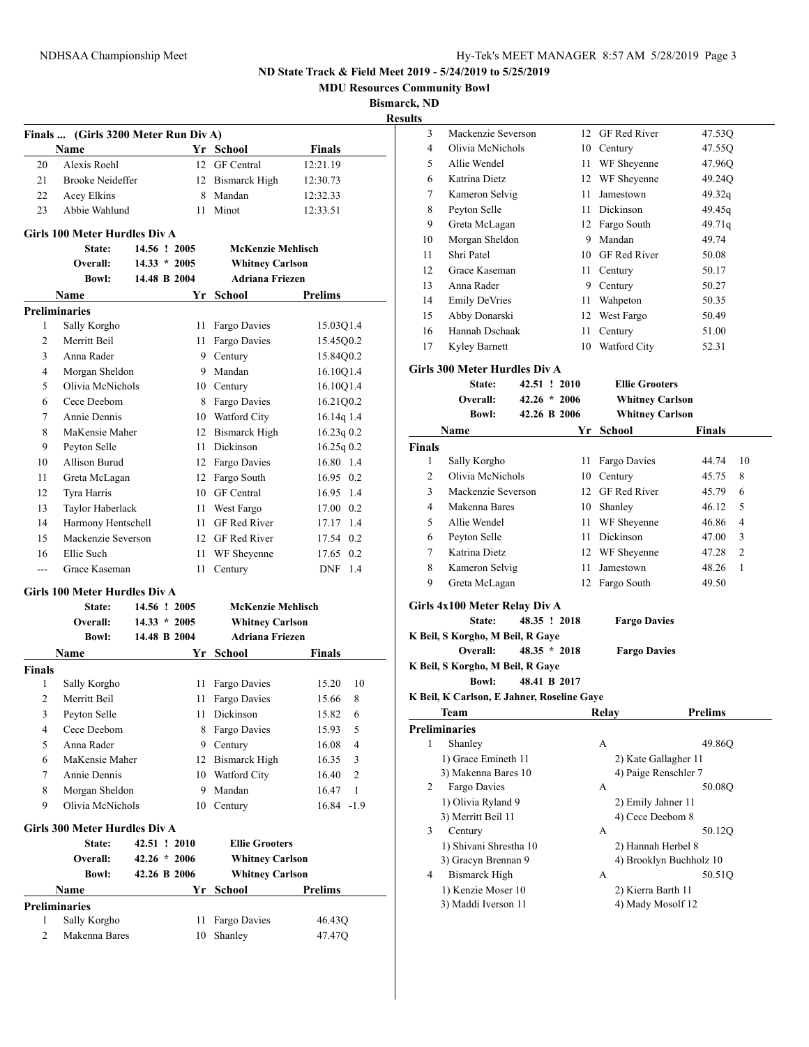**MDU Resources Community Bowl**

**Bismarck, ND Results**

|                | Finals  (Girls 3200 Meter Run Div A) |                |                          |                       |
|----------------|--------------------------------------|----------------|--------------------------|-----------------------|
|                | Name                                 |                | Yr School                | Finals                |
| 20             | Alexis Roehl                         | 12             | <b>GF</b> Central        | 12:21.19              |
| 21             | <b>Brooke Neideffer</b>              | 12             | <b>Bismarck High</b>     | 12:30.73              |
| 22             | Acey Elkins                          | 8              | Mandan                   | 12:32.33              |
| 23             | Abbie Wahlund                        | 11             | Minot                    | 12:33.51              |
|                | Girls 100 Meter Hurdles Div A        |                |                          |                       |
|                | State:                               | 14.56 ! 2005   | <b>McKenzie Mehlisch</b> |                       |
|                | Overall:                             | $14.33 * 2005$ | <b>Whitney Carlson</b>   |                       |
|                | <b>Bowl:</b>                         | 14.48 B 2004   | <b>Adriana Friezen</b>   |                       |
|                | Name                                 | Yr             | School                   | Prelims               |
|                | <b>Preliminaries</b>                 |                |                          |                       |
| 1              | Sally Korgho                         | 11             | Fargo Davies             | 15.03Q1.4             |
| 2              | Merritt Beil                         | 11             | Fargo Davies             | 15.45Q0.2             |
| 3              | Anna Rader                           | 9              | Century                  | 15.84Q0.2             |
| 4              | Morgan Sheldon                       |                | 9 Mandan                 | 16.10Q1.4             |
| 5              | Olivia McNichols                     |                | 10 Century               | 16.10Q1.4             |
| 6              | Cece Deebom                          | 8              | Fargo Davies             | 16.21Q0.2             |
| 7              | Annie Dennis                         |                | 10 Watford City          | 16.14q 1.4            |
| 8              | MaKensie Maher                       | 12             | <b>Bismarck High</b>     | 16.23q0.2             |
| 9              | Peyton Selle                         | 11             | Dickinson                | 16.25q0.2             |
| 10             | Allison Burud                        |                | 12 Fargo Davies          | 16.80 1.4             |
| 11             | Greta McLagan                        | 12             | Fargo South              | $16.95 \quad 0.2$     |
| 12             | Tyra Harris                          |                | 10 GF Central            | 16.95 1.4             |
| 13             | Taylor Haberlack                     | 11 -           | West Fargo               | 17.00 0.2             |
| 14             | Harmony Hentschell                   | 11.            | <b>GF</b> Red River      | 17.17 1.4             |
| 15             | Mackenzie Severson                   | 12             | <b>GF</b> Red River      | 17.54 0.2             |
| 16             | Ellie Such                           | 11             | WF Sheyenne              | 17.65 0.2             |
| ---            | Grace Kaseman                        | 11             | Century                  | DNF 1.4               |
|                | Girls 100 Meter Hurdles Div A        |                |                          |                       |
|                | State:                               | 14.56 ! 2005   | McKenzie Mehlisch        |                       |
|                | Overall:                             | $14.33 * 2005$ | <b>Whitney Carlson</b>   |                       |
|                | <b>Bowl:</b>                         | 14.48 B 2004   | <b>Adriana Friezen</b>   |                       |
|                | Name                                 | Yr             | School                   | Finals                |
| <b>Finals</b>  |                                      |                |                          |                       |
| 1              | Sally Korgho                         | 11             | Fargo Davies             | 10<br>15.20           |
| $\overline{c}$ | Merritt Beil                         | 11             | Fargo Davies             | 15.66<br>8            |
| 3              | Peyton Selle                         | 11             | Dickinson                | 15.82<br>6            |
| 4              | Cece Deebom                          | 8              | Fargo Davies             | 15.93<br>5            |
| 5              | Anna Rader                           | 9              | Century                  | 4<br>16.08            |
| 6              | MaKensie Maher                       | 12             | <b>Bismarck High</b>     | 16.35<br>3            |
| 7              | Annie Dennis                         | 10             | Watford City             | 2<br>16.40            |
| 8              | Morgan Sheldon                       | 9              | Mandan                   | $\mathbf{1}$<br>16.47 |
| 9              | Olivia McNichols                     | 10             | Century                  | 16.84 -1.9            |
|                | Girls 300 Meter Hurdles Div A        |                |                          |                       |
|                | State:                               | 42.51 ! 2010   | <b>Ellie Grooters</b>    |                       |
|                | Overall:                             | $42.26 * 2006$ | <b>Whitney Carlson</b>   |                       |
|                | <b>Bowl:</b>                         | 42.26 B 2006   | <b>Whitney Carlson</b>   |                       |
|                | Name                                 | Yr             | School                   | Prelims               |
|                | <b>Preliminaries</b>                 |                |                          |                       |
| 1              | Sally Korgho                         | 11             | Fargo Davies             | 46.43Q                |
| 2              | Makenna Bares                        | 10             | Shanley                  | 47.47Q                |
|                |                                      |                |                          |                       |

| .              |                                            |                |      |                         |                |    |
|----------------|--------------------------------------------|----------------|------|-------------------------|----------------|----|
| 3              | Mackenzie Severson                         |                |      | 12 GF Red River         | 47.53Q         |    |
| 4              | Olivia McNichols                           |                |      | 10 Century              | 47.55Q         |    |
| 5              | Allie Wendel                               |                |      | 11 WF Sheyenne          | 47.96Q         |    |
| 6              | Katrina Dietz                              |                |      | 12 WF Sheyenne          | 49.24Q         |    |
| 7              | Kameron Selvig                             |                | 11 - | Jamestown               | 49.32q         |    |
| 8              | Peyton Selle                               |                |      | 11 Dickinson            | 49.45q         |    |
| 9              | Greta McLagan                              |                |      | 12 Fargo South          | 49.71q         |    |
| 10             | Morgan Sheldon                             |                |      | 9 Mandan                | 49.74          |    |
| 11             | Shri Patel                                 |                |      | 10 GF Red River         | 50.08          |    |
| 12             | Grace Kaseman                              |                |      | 11 Century              | 50.17          |    |
| 13             | Anna Rader                                 |                |      | 9 Century               | 50.27          |    |
| 14             | <b>Emily DeVries</b>                       |                |      | 11 Wahpeton             | 50.35          |    |
| 15             | Abby Donarski                              |                |      | 12 West Fargo           | 50.49          |    |
| 16             | Hannah Dschaak                             |                | 11   | Century                 | 51.00          |    |
| 17             | Kyley Barnett                              |                |      | 10 Watford City         | 52.31          |    |
|                |                                            |                |      |                         |                |    |
|                | Girls 300 Meter Hurdles Div A              |                |      |                         |                |    |
|                | State:                                     | 42.51 ! 2010   |      | <b>Ellie Grooters</b>   |                |    |
|                | Overall:                                   | $42.26 * 2006$ |      | <b>Whitney Carlson</b>  |                |    |
|                | <b>Bowl:</b>                               | 42.26 B 2006   |      | <b>Whitney Carlson</b>  |                |    |
|                | Name                                       |                | Yr   | <b>School</b>           | <b>Finals</b>  |    |
| <b>Finals</b>  |                                            |                |      |                         |                |    |
| 1              | Sally Korgho                               |                |      | 11 Fargo Davies         | 44.74          | 10 |
| 2              | Olivia McNichols                           |                |      | 10 Century              | 45.75          | 8  |
| 3              | Mackenzie Severson                         |                |      | 12 GF Red River         | 45.79          | 6  |
| $\overline{4}$ | Makenna Bares                              |                |      | 10 Shanley              | 46.12          | 5  |
| 5              | Allie Wendel                               |                |      | 11 WF Sheyenne          | 46.86          | 4  |
| 6              | Peyton Selle                               |                |      | 11 Dickinson            | 47.00          | 3  |
| 7              | Katrina Dietz                              |                |      | 12 WF Sheyenne          | 47.28          | 2  |
| 8              | Kameron Selvig                             |                | 11 - | Jamestown               | 48.26          | 1  |
| 9              | Greta McLagan                              |                | 12   | Fargo South             | 49.50          |    |
|                | Girls 4x100 Meter Relay Div A              |                |      |                         |                |    |
|                | State:                                     | 48.35 ! 2018   |      | <b>Fargo Davies</b>     |                |    |
|                | K Beil, S Korgho, M Beil, R Gaye           |                |      |                         |                |    |
|                | Overall:                                   | $48.35 * 2018$ |      | <b>Fargo Davies</b>     |                |    |
|                | K Beil, S Korgho, M Beil, R Gaye           |                |      |                         |                |    |
|                | <b>Bowl:</b>                               | 48.41 B 2017   |      |                         |                |    |
|                | K Beil, K Carlson, E Jahner, Roseline Gaye |                |      |                         |                |    |
|                | Team                                       |                |      | <b>Relay</b>            | <b>Prelims</b> |    |
|                | <b>Preliminaries</b>                       |                |      |                         |                |    |
| 1              | Shanley                                    |                |      | А                       | 49.86Q         |    |
|                | 1) Grace Emineth 11                        |                |      | 2) Kate Gallagher 11    |                |    |
|                | 3) Makenna Bares 10                        |                |      | 4) Paige Renschler 7    |                |    |
| 2              | Fargo Davies                               |                |      | А                       | 50.08Q         |    |
|                | 1) Olivia Ryland 9                         |                |      | 2) Emily Jahner 11      |                |    |
|                | 3) Merritt Beil 11                         |                |      | 4) Cece Deebom 8        |                |    |
| 3              | Century                                    |                |      | А                       | 50.12Q         |    |
|                | 1) Shivani Shrestha 10                     |                |      | 2) Hannah Herbel 8      |                |    |
|                | 3) Gracyn Brennan 9                        |                |      | 4) Brooklyn Buchholz 10 |                |    |
| 4              | <b>Bismarck High</b>                       |                |      | А                       | 50.51Q         |    |
|                | 1) Kenzie Moser 10                         |                |      | 2) Kierra Barth 11      |                |    |
|                | 3) Maddi Iverson 11                        |                |      | 4) Mady Mosolf 12       |                |    |
|                |                                            |                |      |                         |                |    |
|                |                                            |                |      |                         |                |    |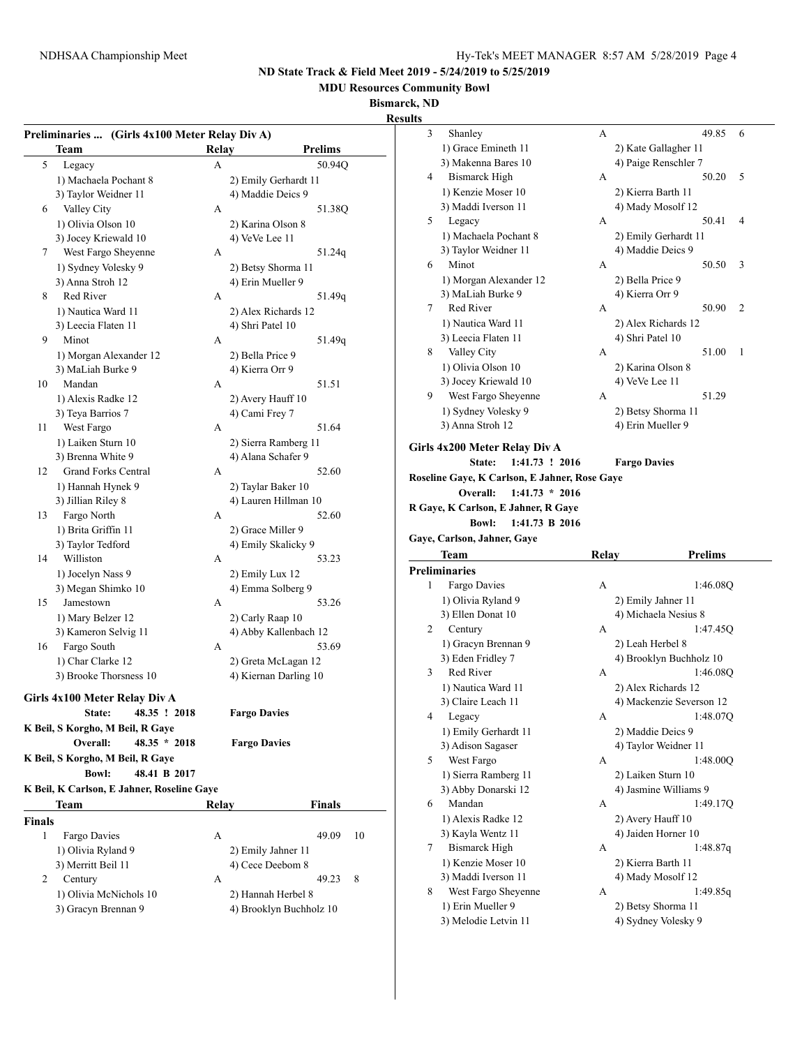**MDU Resources Community Bowl**

#### **Bismarck, ND**

|                                                |                     |                         | results                                       |       |                          |                         |
|------------------------------------------------|---------------------|-------------------------|-----------------------------------------------|-------|--------------------------|-------------------------|
| Preliminaries  (Girls 4x100 Meter Relay Div A) |                     |                         | 3<br>Shanley                                  | A     | 49.85                    | -6                      |
| Team                                           | Relay               | <b>Prelims</b>          | 1) Grace Emineth 11                           |       | 2) Kate Gallagher 11     |                         |
| 5 <sup>5</sup><br>Legacy                       | A                   | 50.94Q                  | 3) Makenna Bares 10                           |       | 4) Paige Renschler 7     |                         |
| 1) Machaela Pochant 8                          |                     | 2) Emily Gerhardt 11    | <b>Bismarck High</b><br>4                     | А     | 50.20                    | 5                       |
| 3) Taylor Weidner 11                           | 4) Maddie Deics 9   |                         | 1) Kenzie Moser 10                            |       | 2) Kierra Barth 11       |                         |
| Valley City<br>6                               | A                   | 51.38Q                  | 3) Maddi Iverson 11                           |       | 4) Mady Mosolf 12        |                         |
| 1) Olivia Olson 10                             | 2) Karina Olson 8   |                         | 5<br>Legacy                                   | А     | 50.41                    | $\overline{4}$          |
| 3) Jocey Kriewald 10                           | 4) VeVe Lee 11      |                         | 1) Machaela Pochant 8                         |       | 2) Emily Gerhardt 11     |                         |
| West Fargo Sheyenne<br>7                       | A                   | 51.24q                  | 3) Taylor Weidner 11                          |       | 4) Maddie Deics 9        |                         |
| 1) Sydney Volesky 9                            |                     | 2) Betsy Shorma 11      | Minot<br>6                                    | А     | 50.50                    | $\overline{\mathbf{3}}$ |
| 3) Anna Stroh 12                               | 4) Erin Mueller 9   |                         | 1) Morgan Alexander 12                        |       | 2) Bella Price 9         |                         |
| Red River<br>8                                 | А                   | 51.49q                  | 3) MaLiah Burke 9                             |       | 4) Kierra Orr 9          |                         |
| 1) Nautica Ward 11                             |                     | 2) Alex Richards 12     | Red River<br>7                                | А     | 50.90                    | 2                       |
| 3) Leecia Flaten 11                            | 4) Shri Patel 10    |                         | 1) Nautica Ward 11                            |       | 2) Alex Richards 12      |                         |
| Minot<br>9                                     | А                   | 51.49q                  | 3) Leecia Flaten 11                           |       | 4) Shri Patel 10         |                         |
| 1) Morgan Alexander 12                         | 2) Bella Price 9    |                         | Valley City<br>8                              | А     | 51.00                    | - 1                     |
| 3) MaLiah Burke 9                              | 4) Kierra Orr 9     |                         | 1) Olivia Olson 10                            |       | 2) Karina Olson 8        |                         |
| Mandan<br>10                                   | A                   | 51.51                   | 3) Jocey Kriewald 10                          |       | 4) VeVe Lee 11           |                         |
| 1) Alexis Radke 12                             | 2) Avery Hauff 10   |                         | West Fargo Sheyenne<br>9                      | А     | 51.29                    |                         |
| 3) Teya Barrios 7                              | 4) Cami Frey 7      |                         | 1) Sydney Volesky 9                           |       | 2) Betsy Shorma 11       |                         |
| West Fargo<br>11                               | A                   | 51.64                   | 3) Anna Stroh 12                              |       | 4) Erin Mueller 9        |                         |
| 1) Laiken Sturn 10                             |                     | 2) Sierra Ramberg 11    |                                               |       |                          |                         |
| 3) Brenna White 9                              |                     | 4) Alana Schafer 9      | Girls 4x200 Meter Relay Div A                 |       |                          |                         |
| <b>Grand Forks Central</b><br>12               | A                   | 52.60                   | 1:41.73 ! 2016<br>State:                      |       | <b>Fargo Davies</b>      |                         |
| 1) Hannah Hynek 9                              | 2) Taylar Baker 10  |                         | Roseline Gaye, K Carlson, E Jahner, Rose Gaye |       |                          |                         |
| 3) Jillian Riley 8                             |                     | 4) Lauren Hillman 10    | Overall:<br>$1:41.73 * 2016$                  |       |                          |                         |
| Fargo North<br>13                              | А                   | 52.60                   | R Gaye, K Carlson, E Jahner, R Gaye           |       |                          |                         |
| 1) Brita Griffin 11                            | 2) Grace Miller 9   |                         | <b>Bowl:</b><br>1:41.73 B 2016                |       |                          |                         |
| 3) Taylor Tedford                              |                     | 4) Emily Skalicky 9     | Gaye, Carlson, Jahner, Gaye                   |       |                          |                         |
| Williston<br>14                                | А                   | 53.23                   | Team                                          | Relay | <b>Prelims</b>           |                         |
| 1) Jocelyn Nass 9                              | 2) Emily Lux 12     |                         | <b>Preliminaries</b>                          |       |                          |                         |
| 3) Megan Shimko 10                             |                     | 4) Emma Solberg 9       | 1<br>Fargo Davies                             | A     | 1:46.08Q                 |                         |
| Jamestown<br>15                                | A                   | 53.26                   | 1) Olivia Ryland 9                            |       | 2) Emily Jahner 11       |                         |
| 1) Mary Belzer 12                              | 2) Carly Raap 10    |                         | 3) Ellen Donat 10                             |       | 4) Michaela Nesius 8     |                         |
| 3) Kameron Selvig 11                           |                     | 4) Abby Kallenbach 12   | 2<br>Century                                  | А     | 1:47.45Q                 |                         |
| Fargo South<br>16                              | А                   | 53.69                   | 1) Gracyn Brennan 9                           |       | 2) Leah Herbel 8         |                         |
| 1) Char Clarke 12                              |                     | 2) Greta McLagan 12     | 3) Eden Fridley 7                             |       | 4) Brooklyn Buchholz 10  |                         |
| 3) Brooke Thorsness 10                         |                     | 4) Kiernan Darling 10   | Red River<br>3                                | А     | 1:46.08Q                 |                         |
|                                                |                     |                         | 1) Nautica Ward 11                            |       | 2) Alex Richards 12      |                         |
| Girls 4x100 Meter Relay Div A                  |                     |                         | 3) Claire Leach 11                            |       | 4) Mackenzie Severson 12 |                         |
| State: 48.35 ! 2018                            | <b>Fargo Davies</b> |                         | Legacy<br>4                                   | A     | 1:48.07Q                 |                         |
| K Beil, S Korgho, M Beil, R Gaye               |                     |                         | 1) Emily Gerhardt 11                          |       | 2) Maddie Deics 9        |                         |
| Overall:<br>$48.35 * 2018$                     | <b>Fargo Davies</b> |                         | 3) Adison Sagaser                             |       | 4) Taylor Weidner 11     |                         |
| K Beil, S Korgho, M Beil, R Gaye               |                     |                         | West Fargo<br>5                               | А     | 1:48.00Q                 |                         |
| <b>Bowl:</b><br>48.41 B 2017                   |                     |                         | 1) Sierra Ramberg 11                          |       | 2) Laiken Sturn 10       |                         |
| K Beil, K Carlson, E Jahner, Roseline Gaye     |                     |                         | 3) Abby Donarski 12                           |       | 4) Jasmine Williams 9    |                         |
| <b>Team</b>                                    | Relay               | <b>Finals</b>           | Mandan<br>6                                   | A     | 1:49.17Q                 |                         |
| <b>Finals</b>                                  |                     |                         | 1) Alexis Radke 12                            |       | 2) Avery Hauff 10        |                         |
| Fargo Davies<br>1                              | A                   | 49.09<br>10             | 3) Kayla Wentz 11                             |       | 4) Jaiden Horner 10      |                         |
| 1) Olivia Ryland 9                             | 2) Emily Jahner 11  |                         | <b>Bismarck High</b><br>7                     | А     | 1:48.87q                 |                         |
| 3) Merritt Beil 11                             | 4) Cece Deebom 8    |                         | 1) Kenzie Moser 10                            |       | 2) Kierra Barth 11       |                         |
| 2<br>Century                                   | A                   | 8<br>49.23              | 3) Maddi Iverson 11                           |       | 4) Mady Mosolf 12        |                         |
| 1) Olivia McNichols 10                         |                     | 2) Hannah Herbel 8      | West Fargo Sheyenne<br>8                      | А     | 1:49.85q                 |                         |
| 3) Gracyn Brennan 9                            |                     | 4) Brooklyn Buchholz 10 | 1) Erin Mueller 9                             |       | 2) Betsy Shorma 11       |                         |
|                                                |                     |                         | 3) Melodie Letvin 11                          |       | 4) Sydney Volesky 9      |                         |
|                                                |                     |                         |                                               |       |                          |                         |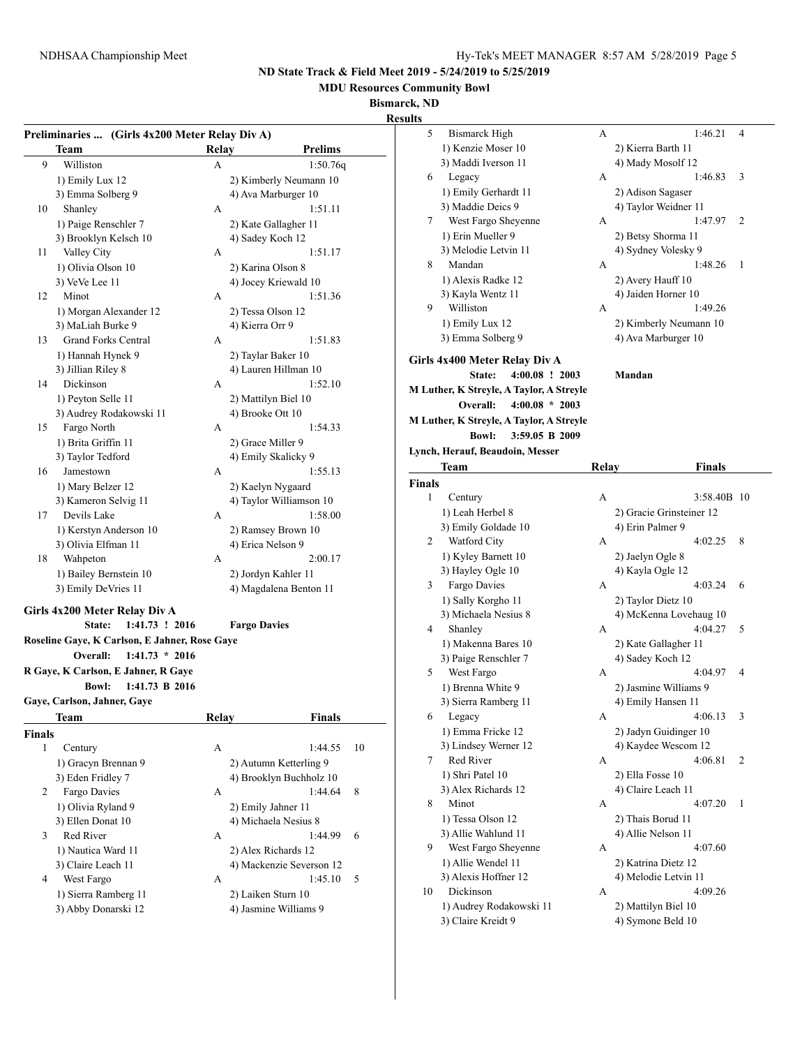**MDU Resources Community Bowl**

**Bismarck, ND**

|               |                                                |                          |                | results  |                                               |       |                                             |                         |
|---------------|------------------------------------------------|--------------------------|----------------|----------|-----------------------------------------------|-------|---------------------------------------------|-------------------------|
|               | Preliminaries  (Girls 4x200 Meter Relay Div A) |                          |                | 5        | <b>Bismarck High</b>                          | A     | 1:46.21                                     | $\overline{4}$          |
|               | Team                                           | Relay                    | <b>Prelims</b> |          | 1) Kenzie Moser 10                            |       | 2) Kierra Barth 11                          |                         |
| 9             | Williston                                      | A                        | 1:50.76q       |          | 3) Maddi Iverson 11                           |       | 4) Mady Mosolf 12                           |                         |
|               | 1) Emily Lux 12                                | 2) Kimberly Neumann 10   |                | 6        | Legacy                                        | А     | 1:46.83                                     | $\overline{3}$          |
|               | 3) Emma Solberg 9                              | 4) Ava Marburger 10      |                |          | 1) Emily Gerhardt 11                          |       | 2) Adison Sagaser                           |                         |
| 10            | Shanley                                        | A                        | 1:51.11        |          | 3) Maddie Deics 9                             |       | 4) Taylor Weidner 11                        |                         |
|               | 1) Paige Renschler 7                           | 2) Kate Gallagher 11     |                | 7        | West Fargo Sheyenne                           | А     | 1:47.97                                     | 2                       |
|               | 3) Brooklyn Kelsch 10                          | 4) Sadey Koch 12         |                |          | 1) Erin Mueller 9                             |       | 2) Betsy Shorma 11                          |                         |
| 11            | Valley City                                    | A                        | 1:51.17        |          | 3) Melodie Letvin 11                          |       | 4) Sydney Volesky 9                         |                         |
|               | 1) Olivia Olson 10                             | 2) Karina Olson 8        |                | 8        | Mandan                                        | А     | 1:48.26                                     | -1                      |
|               | 3) VeVe Lee 11                                 | 4) Jocey Kriewald 10     |                |          | 1) Alexis Radke 12                            |       | 2) Avery Hauff 10                           |                         |
| 12            | Minot                                          | А                        | 1:51.36        |          | 3) Kayla Wentz 11                             |       | 4) Jaiden Horner 10                         |                         |
|               | 1) Morgan Alexander 12                         | 2) Tessa Olson 12        |                | 9        | Williston                                     | А     | 1:49.26                                     |                         |
|               | 3) MaLiah Burke 9                              | 4) Kierra Orr 9          |                |          | 1) Emily Lux 12                               |       | 2) Kimberly Neumann 10                      |                         |
| 13            | <b>Grand Forks Central</b>                     | A                        | 1:51.83        |          | 3) Emma Solberg 9                             |       | 4) Ava Marburger 10                         |                         |
|               | 1) Hannah Hynek 9                              | 2) Taylar Baker 10       |                |          | Girls 4x400 Meter Relay Div A                 |       |                                             |                         |
|               | 3) Jillian Riley 8                             | 4) Lauren Hillman 10     |                |          | $4:00.08$ ! 2003<br>State:                    |       | Mandan                                      |                         |
| 14            | Dickinson                                      | А                        | 1:52.10        |          | M Luther, K Streyle, A Taylor, A Streyle      |       |                                             |                         |
|               | 1) Peyton Selle 11                             | 2) Mattilyn Biel 10      |                |          | Overall:<br>$4:00.08 * 2003$                  |       |                                             |                         |
|               | 3) Audrey Rodakowski 11                        | 4) Brooke Ott 10         |                |          | M Luther, K Streyle, A Taylor, A Streyle      |       |                                             |                         |
| 15            | Fargo North                                    | A                        | 1:54.33        |          | <b>Bowl:</b><br>3:59.05 B 2009                |       |                                             |                         |
|               | 1) Brita Griffin 11                            | 2) Grace Miller 9        |                |          |                                               |       |                                             |                         |
|               | 3) Taylor Tedford                              | 4) Emily Skalicky 9      |                |          | Lynch, Herauf, Beaudoin, Messer               |       |                                             |                         |
| 16            | Jamestown                                      | А                        | 1:55.13        |          | <b>Team</b>                                   | Relay | <b>Finals</b>                               |                         |
|               | 1) Mary Belzer 12                              | 2) Kaelyn Nygaard        |                | Finals   |                                               |       |                                             |                         |
|               | 3) Kameron Selvig 11                           | 4) Taylor Williamson 10  |                | 1        | Century                                       | А     | 3:58.40B 10                                 |                         |
| 17            | Devils Lake                                    | A                        | 1:58.00        |          | 1) Leah Herbel 8                              |       | 2) Gracie Grinsteiner 12                    |                         |
|               | 1) Kerstyn Anderson 10                         | 2) Ramsey Brown 10       |                |          | 3) Emily Goldade 10                           |       | 4) Erin Palmer 9                            |                         |
|               | 3) Olivia Elfman 11                            | 4) Erica Nelson 9        |                | 2        | Watford City                                  | А     | $4:02.25$ 8                                 |                         |
| 18            | Wahpeton                                       | A                        | 2:00.17        |          | 1) Kyley Barnett 10                           |       | 2) Jaelyn Ogle 8                            |                         |
|               | 1) Bailey Bernstein 10                         | 2) Jordyn Kahler 11      |                |          | 3) Hayley Ogle 10                             |       | 4) Kayla Ogle 12                            |                         |
|               | 3) Emily DeVries 11                            | 4) Magdalena Benton 11   |                | 3        | Fargo Davies                                  | A     | $4:03.24$ 6                                 |                         |
|               | Girls 4x200 Meter Relay Div A                  |                          |                |          | 1) Sally Korgho 11                            |       | 2) Taylor Dietz 10                          |                         |
|               | State:<br>1:41.73 ! 2016                       | <b>Fargo Davies</b>      |                |          | 3) Michaela Nesius 8                          |       | 4) McKenna Lovehaug 10                      |                         |
|               | Roseline Gaye, K Carlson, E Jahner, Rose Gaye  |                          |                | 4        | Shanley                                       | А     | $4:04.27$ 5                                 |                         |
|               | Overall:<br>$1:41.73 * 2016$                   |                          |                |          | 1) Makenna Bares 10                           |       | 2) Kate Gallagher 11                        |                         |
|               | R Gaye, K Carlson, E Jahner, R Gaye            |                          |                |          | 3) Paige Renschler 7                          |       | 4) Sadey Koch 12                            |                         |
|               | <b>Bowl:</b><br>1:41.73 B 2016                 |                          |                | 5        | West Fargo                                    | A     | 4:04.97                                     | $\overline{4}$          |
|               | Gaye, Carlson, Jahner, Gaye                    |                          |                |          | 1) Brenna White 9<br>3) Sierra Ramberg 11     |       | 2) Jasmine Williams 9<br>4) Emily Hansen 11 |                         |
|               | <b>Team</b>                                    | Relay                    | <b>Finals</b>  | 6        | Legacy                                        | A     | 4:06.13                                     | $\overline{\mathbf{3}}$ |
|               |                                                |                          |                |          | 1) Emma Fricke 12                             |       | 2) Jadyn Guidinger 10                       |                         |
| <b>Finals</b> |                                                |                          |                |          | 3) Lindsey Werner 12                          |       | 4) Kaydee Wescom 12                         |                         |
| $\mathbf{1}$  | Century                                        | A                        | 1:44.55        | -10<br>7 | Red River                                     | А     | 4:06.81                                     | 2                       |
|               | 1) Gracyn Brennan 9                            | 2) Autumn Ketterling 9   |                |          | 1) Shri Patel 10                              |       | 2) Ella Fosse 10                            |                         |
|               | 3) Eden Fridley 7                              | 4) Brooklyn Buchholz 10  |                |          | 3) Alex Richards 12                           |       | 4) Claire Leach 11                          |                         |
| 2             | Fargo Davies                                   | А                        | 1:44.64        | 8<br>8   | Minot                                         | A     | 4:07.20                                     | $\overline{1}$          |
|               | 1) Olivia Ryland 9                             | 2) Emily Jahner 11       |                |          | 1) Tessa Olson 12                             |       | 2) Thais Borud 11                           |                         |
|               | 3) Ellen Donat 10<br>Red River                 | 4) Michaela Nesius 8     |                |          | 3) Allie Wahlund 11                           |       | 4) Allie Nelson 11                          |                         |
| 3             |                                                | A<br>2) Alex Richards 12 | 1:44.99<br>6   | 9        | West Fargo Sheyenne                           | А     | 4:07.60                                     |                         |
|               | 1) Nautica Ward 11                             |                          |                |          | 1) Allie Wendel 11                            |       | 2) Katrina Dietz 12                         |                         |
|               | 3) Claire Leach 11                             | 4) Mackenzie Severson 12 | 5              |          | 3) Alexis Hoffner 12                          |       | 4) Melodie Letvin 11                        |                         |
| 4             | West Fargo                                     | А                        | 1:45.10        |          |                                               | А     | 4:09.26                                     |                         |
|               |                                                |                          |                |          |                                               |       |                                             |                         |
|               | 1) Sierra Ramberg 11                           | 2) Laiken Sturn 10       |                | 10       | Dickinson                                     |       |                                             |                         |
|               | 3) Abby Donarski 12                            | 4) Jasmine Williams 9    |                |          | 1) Audrey Rodakowski 11<br>3) Claire Kreidt 9 |       | 2) Mattilyn Biel 10<br>4) Symone Beld 10    |                         |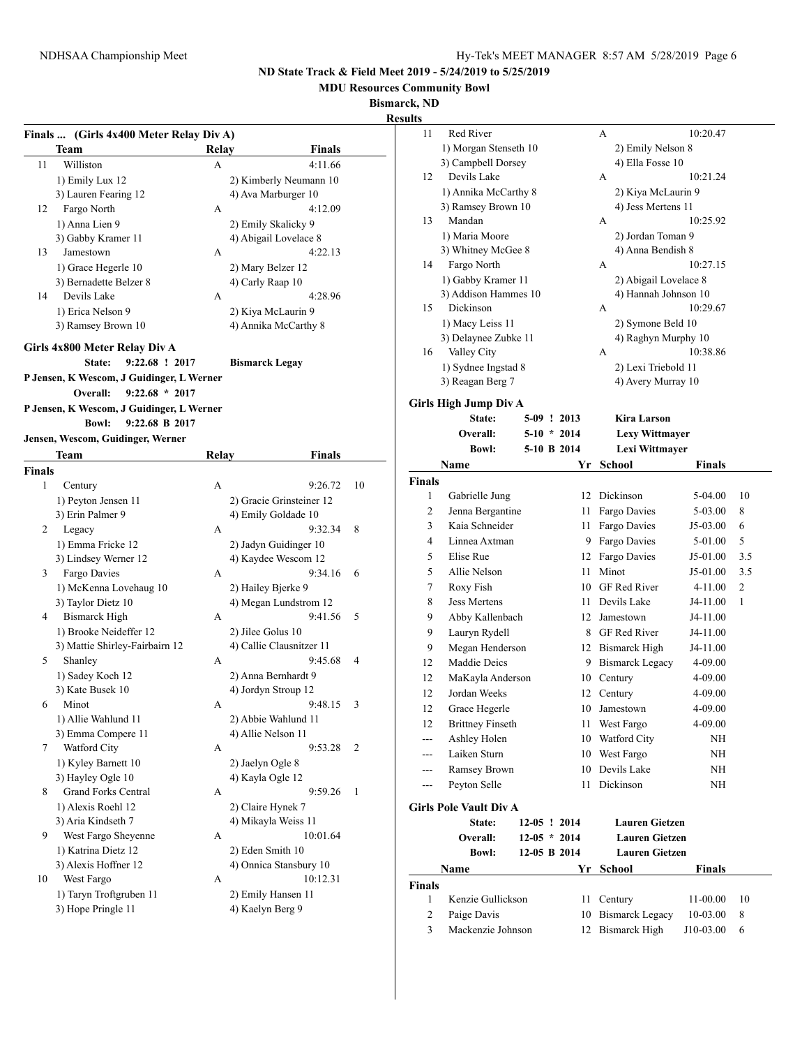**MDU Resources Community Bowl**

**Bismarck, ND**

|        |                                                 |       |                          |    | ixesuits               |                               |         |
|--------|-------------------------------------------------|-------|--------------------------|----|------------------------|-------------------------------|---------|
|        | Finals  (Girls 4x400 Meter Relay Div A)         |       |                          |    | 11                     | Red River                     |         |
|        | <b>Team</b>                                     | Relay | <b>Finals</b>            |    |                        | 1) Morgan Stenseth 10         |         |
| 11     | Williston                                       | A     | 4:11.66                  |    |                        | 3) Campbell Dorsey            |         |
|        | 1) Emily Lux 12                                 |       | 2) Kimberly Neumann 10   |    | 12                     | Devils Lake                   |         |
|        | 3) Lauren Fearing 12                            |       | 4) Ava Marburger 10      |    |                        | 1) Annika McCarthy 8          |         |
| 12     | Fargo North                                     | A     | 4:12.09                  |    |                        | 3) Ramsey Brown 10            |         |
|        | 1) Anna Lien 9                                  |       | 2) Emily Skalicky 9      |    | 13                     | Mandan                        |         |
|        | 3) Gabby Kramer 11                              |       | 4) Abigail Lovelace 8    |    |                        | 1) Maria Moore                |         |
| 13     | Jamestown                                       | A     | 4:22.13                  |    |                        | 3) Whitney McGee 8            |         |
|        | 1) Grace Hegerle 10                             |       | 2) Mary Belzer 12        |    | 14                     | Fargo North                   |         |
|        | 3) Bernadette Belzer 8                          |       | 4) Carly Raap 10         |    |                        | 1) Gabby Kramer 11            |         |
| 14     | Devils Lake                                     | A     | 4:28.96                  |    |                        | 3) Addison Hammes 10          |         |
|        | 1) Erica Nelson 9                               |       | 2) Kiya McLaurin 9       |    | 15                     | Dickinson                     |         |
|        | 3) Ramsey Brown 10                              |       | 4) Annika McCarthy 8     |    |                        | 1) Macy Leiss 11              |         |
|        |                                                 |       |                          |    |                        | 3) Delaynee Zubke 11          |         |
|        | Girls 4x800 Meter Relay Div A<br>9:22.68 ! 2017 |       |                          |    | 16                     | Valley City                   |         |
|        | State:                                          |       | <b>Bismarck Legay</b>    |    |                        | 1) Sydnee Ingstad 8           |         |
|        | P Jensen, K Wescom, J Guidinger, L Werner       |       |                          |    |                        | 3) Reagan Berg 7              |         |
|        | Overall:<br>$9:22.68 * 2017$                    |       |                          |    |                        | Girls High Jump Div A         |         |
|        | P Jensen, K Wescom, J Guidinger, L Werner       |       |                          |    |                        | State:                        | $5-09$  |
|        | <b>Bowl:</b><br>9:22.68 B 2017                  |       |                          |    |                        | Overall:                      | $5-10$  |
|        | Jensen, Wescom, Guidinger, Werner               |       |                          |    |                        | <b>Bowl:</b>                  | $5-10$  |
|        | Team                                            | Relay | <b>Finals</b>            |    |                        | Name                          |         |
| Finals |                                                 |       |                          |    |                        |                               |         |
| 1      | Century                                         | A     | 9:26.72                  | 10 | Finals<br>$\mathbf{1}$ |                               |         |
|        | 1) Peyton Jensen 11                             |       | 2) Gracie Grinsteiner 12 |    | 2                      | Gabrielle Jung                |         |
|        | 3) Erin Palmer 9                                |       | 4) Emily Goldade 10      |    |                        | Jenna Bergantine              |         |
| 2      | Legacy                                          | A     | 9:32.34                  | 8  | 3                      | Kaia Schneider                |         |
|        | 1) Emma Fricke 12                               |       | 2) Jadyn Guidinger 10    |    | 4                      | Linnea Axtman                 |         |
|        | 3) Lindsey Werner 12                            |       | 4) Kaydee Wescom 12      |    | 5                      | Elise Rue                     |         |
| 3      | Fargo Davies                                    | A     | 9:34.16                  | 6  | 5                      | Allie Nelson                  |         |
|        | 1) McKenna Lovehaug 10                          |       | 2) Hailey Bjerke 9       |    | $\tau$                 | Roxy Fish                     |         |
|        | 3) Taylor Dietz 10                              |       | 4) Megan Lundstrom 12    |    | 8                      | <b>Jess Mertens</b>           |         |
| 4      | <b>Bismarck High</b>                            | A     | 9:41.56                  | 5  | 9                      | Abby Kallenbach               |         |
|        | 1) Brooke Neideffer 12                          |       | 2) Jilee Golus 10        |    | 9                      | Lauryn Rydell                 |         |
|        | 3) Mattie Shirley-Fairbairn 12                  |       | 4) Callie Clausnitzer 11 |    | 9                      | Megan Henderson               |         |
| 5      | Shanley                                         | A     | 9:45.68                  | 4  | 12                     | Maddie Deics                  |         |
|        | 1) Sadey Koch 12                                |       | 2) Anna Bernhardt 9      |    | 12                     | MaKayla Anderson              |         |
|        | 3) Kate Busek 10                                |       | 4) Jordyn Stroup 12      |    | 12                     | Jordan Weeks                  |         |
| 6      | Minot                                           | А     | 9:48.15                  | 3  | 12                     | Grace Hegerle                 |         |
|        | 1) Allie Wahlund 11                             |       | 2) Abbie Wahlund 11      |    | 12                     | <b>Brittney Finseth</b>       |         |
|        | 3) Emma Compere 11                              |       | 4) Allie Nelson 11       |    | ---                    | Ashley Holen                  |         |
| 7      | Watford City                                    | A     | 9:53.28                  | 2  | $---$                  | Laiken Sturn                  |         |
|        | 1) Kyley Barnett 10                             |       | 2) Jaelyn Ogle 8         |    | ---                    | Ramsey Brown                  |         |
|        | 3) Hayley Ogle 10                               |       | 4) Kayla Ogle 12         |    |                        | Peyton Selle                  |         |
| 8      | <b>Grand Forks Central</b>                      | A     | 9:59.26                  | 1  |                        |                               |         |
|        | 1) Alexis Roehl 12                              |       | 2) Claire Hynek 7        |    |                        | <b>Girls Pole Vault Div A</b> |         |
|        | 3) Aria Kindseth 7                              |       | 4) Mikayla Weiss 11      |    |                        | State:                        | $12-05$ |
| 9.     | West Fargo Sheyenne                             | A     | 10:01.64                 |    |                        | Overall:                      | $12-05$ |
|        | 1) Katrina Dietz 12                             |       | 2) Eden Smith 10         |    |                        | <b>Bowl:</b>                  | $12-05$ |
|        | 3) Alexis Hoffner 12                            |       | 4) Onnica Stansbury 10   |    |                        | Name                          |         |
| 10     | West Fargo                                      | A     | 10:12.31                 |    | Finals                 |                               |         |
|        | 1) Taryn Troftgruben 11                         |       | 2) Emily Hansen 11       |    | 1                      | Kenzie Gullickson             |         |
|        | 3) Hope Pringle 11                              |       | 4) Kaelyn Berg 9         |    | $\overline{c}$         | Paige Davis                   |         |
|        |                                                 |       |                          |    | 3                      | Mackenzie Johnson             |         |

|    | ND                    |   |                         |  |  |
|----|-----------------------|---|-------------------------|--|--|
| 11 | Red River             | A | 10:20.47                |  |  |
|    | 1) Morgan Stenseth 10 |   | 2) Emily Nelson 8       |  |  |
|    | 3) Campbell Dorsey    |   | 4) Ella Fosse 10        |  |  |
| 12 | Devils Lake           | A | 10:21.24                |  |  |
|    | 1) Annika McCarthy 8  |   | 2) Kiya McLaurin 9      |  |  |
|    | 3) Ramsey Brown 10    |   | 4) Jess Mertens 11      |  |  |
| 13 | Mandan                | A | 10:25.92                |  |  |
|    | 1) Maria Moore        |   | 2) Jordan Toman 9       |  |  |
|    | 3) Whitney McGee 8    |   | 4) Anna Bendish 8       |  |  |
| 14 | Fargo North           | A | 10:27.15                |  |  |
|    | 1) Gabby Kramer 11    |   | 2) Abigail Lovelace 8   |  |  |
|    | 3) Addison Hammes 10  |   | 4) Hannah Johnson 10    |  |  |
| 15 | Dickinson             | A | 10:29.67                |  |  |
|    | 1) Macy Leiss 11      |   | 2) Symone Beld 10       |  |  |
|    | 3) Delaynee Zubke 11  |   | 4) Raghyn Murphy 10     |  |  |
| 16 | Valley City           | A | 10:38.86                |  |  |
|    | 1) Sydnee Ingstad 8   |   | 2) Lexi Triebold 11     |  |  |
|    | 3) Reagan Berg 7      |   | 4) Avery Murray 10      |  |  |
|    | rls High Jump Div A   |   |                         |  |  |
|    | $C_{total} = E(0.12)$ |   | $V_{\text{max}}$ Langer |  |  |

|                | Girls High Jump Div A         |  |                |                        |               |                |
|----------------|-------------------------------|--|----------------|------------------------|---------------|----------------|
|                | State:                        |  | 5-09 ! 2013    | <b>Kira Larson</b>     |               |                |
|                | Overall:                      |  | $5-10 * 2014$  | Lexy Wittmayer         |               |                |
|                | <b>Bowl:</b>                  |  | 5-10 B 2014    | Lexi Wittmayer         |               |                |
|                | Name                          |  | Үr             | <b>School</b>          | <b>Finals</b> |                |
| <b>Finals</b>  |                               |  |                |                        |               |                |
| 1              | Gabrielle Jung                |  | 12             | Dickinson              | 5-04.00       | 10             |
| $\overline{c}$ | Jenna Bergantine              |  | 11             | Fargo Davies           | 5-03.00       | 8              |
| 3              | Kaia Schneider                |  | 11             | Fargo Davies           | J5-03.00      | 6              |
| 4              | Linnea Axtman                 |  | 9              | Fargo Davies           | 5-01.00       | 5              |
| 5              | Elise Rue                     |  | 12             | Fargo Davies           | J5-01.00      | 3.5            |
| 5              | Allie Nelson                  |  | 11             | Minot                  | J5-01.00      | 3.5            |
| 7              | Roxy Fish                     |  | 10             | <b>GF</b> Red River    | $4 - 11.00$   | $\overline{2}$ |
| 8              | <b>Jess Mertens</b>           |  | 11             | Devils Lake            | J4-11.00      | 1              |
| 9              | Abby Kallenbach               |  | 12             | Jamestown              | J4-11.00      |                |
| 9              | Lauryn Rydell                 |  | 8              | <b>GF</b> Red River    | J4-11.00      |                |
| 9              | Megan Henderson               |  |                | 12 Bismarck High       | J4-11.00      |                |
| 12             | Maddie Deics                  |  | 9.             | <b>Bismarck Legacy</b> | 4-09.00       |                |
| 12             | MaKayla Anderson              |  | 10             | Century                | 4-09.00       |                |
| 12             | Jordan Weeks                  |  | 12             | Century                | 4-09.00       |                |
| 12             | Grace Hegerle                 |  | 10             | Jamestown              | 4-09.00       |                |
| 12             | <b>Brittney Finseth</b>       |  | 11             | West Fargo             | 4-09.00       |                |
| ---            | Ashley Holen                  |  | 10             | Watford City           | ΝH            |                |
| ---            | Laiken Sturn                  |  | 10             | West Fargo             | NH            |                |
| ---            | Ramsey Brown                  |  | 10             | Devils Lake            | NH            |                |
| ---            | Peyton Selle                  |  | 11             | Dickinson              | NH            |                |
|                | <b>Girls Pole Vault Div A</b> |  |                |                        |               |                |
|                | <b>State:</b>                 |  | $12-05$ ! 2014 | <b>Lauren Gietzen</b>  |               |                |
|                | Overall:                      |  | $12-05 * 2014$ | <b>Lauren Gietzen</b>  |               |                |
|                | <b>Bowl:</b>                  |  | 12-05 B 2014   | <b>Lauren Gietzen</b>  |               |                |
|                | Name                          |  | Yr             | <b>School</b>          | <b>Finals</b> |                |
| <b>Finals</b>  |                               |  |                |                        |               |                |
| 1              | Kenzie Gullickson             |  | 11             | Century                | 11-00.00      | 10             |
| $\overline{c}$ | Paige Davis                   |  | 10             | <b>Bismarck Legacy</b> | 10-03.00      | 8              |
| 3              | Mackenzie Johnson             |  | 12             | <b>Bismarck High</b>   | J10-03.00     | 6              |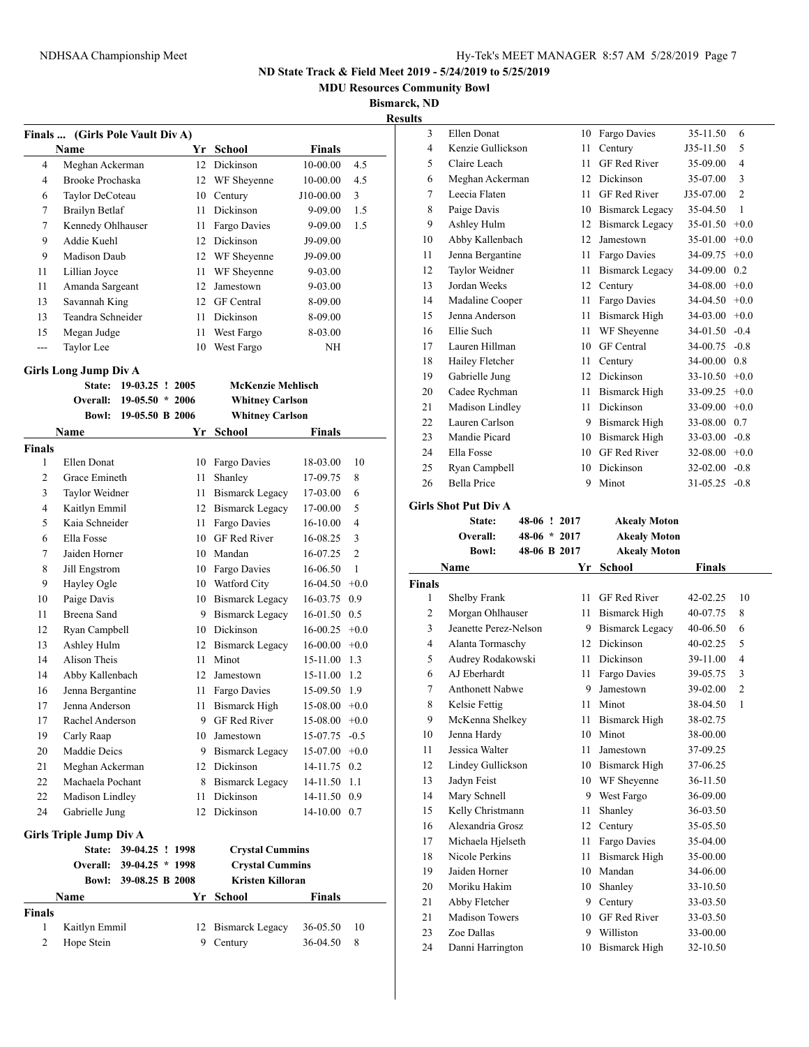**MDU Resources Community Bowl**

**Bismarck, ND**

**Results**

| Finals                                                                                         | (Girls Pole Vault Div A)       |                   |    |                        |                 |                |  |
|------------------------------------------------------------------------------------------------|--------------------------------|-------------------|----|------------------------|-----------------|----------------|--|
|                                                                                                | Name                           |                   |    | Yr School              | <b>Finals</b>   |                |  |
| 4                                                                                              | Meghan Ackerman                |                   | 12 | Dickinson              | 10-00.00        | 4.5            |  |
| 4                                                                                              | Brooke Prochaska               |                   | 12 | WF Sheyenne            | 10-00.00        | 4.5            |  |
| 6                                                                                              | Taylor DeCoteau                |                   | 10 | Century                | J10-00.00       | 3              |  |
| 7                                                                                              | <b>Brailyn Betlaf</b>          |                   | 11 | Dickinson              | 9-09.00         | 1.5            |  |
| 7                                                                                              | Kennedy Ohlhauser              |                   | 11 | Fargo Davies           | 9-09.00         | 1.5            |  |
| 9                                                                                              | Addie Kuehl                    |                   | 12 | Dickinson              | J9-09.00        |                |  |
| 9                                                                                              | Madison Daub                   |                   | 12 | WF Sheyenne            | J9-09.00        |                |  |
| 11                                                                                             | Lillian Joyce                  |                   | 11 | WF Sheyenne            | 9-03.00         |                |  |
| 11                                                                                             | Amanda Sargeant                |                   | 12 | Jamestown              | 9-03.00         |                |  |
| 13                                                                                             | Savannah King                  |                   |    | 12 GF Central          | 8-09.00         |                |  |
| 13                                                                                             | Teandra Schneider              |                   | 11 | Dickinson              | 8-09.00         |                |  |
| 15                                                                                             | Megan Judge                    |                   | 11 | West Fargo             | 8-03.00         |                |  |
| ---                                                                                            | Taylor Lee                     |                   | 10 | West Fargo             | NH              |                |  |
|                                                                                                |                                |                   |    |                        |                 |                |  |
| <b>Girls Long Jump Div A</b><br><b>McKenzie Mehlisch</b><br><b>State:</b><br>$19-03.25$ ! 2005 |                                |                   |    |                        |                 |                |  |
|                                                                                                | Overall:                       | $19-05.50 * 2006$ |    | <b>Whitney Carlson</b> |                 |                |  |
|                                                                                                | <b>Bowl:</b>                   | 19-05.50 B 2006   |    | <b>Whitney Carlson</b> |                 |                |  |
|                                                                                                | Name                           |                   | Yr | School                 | Finals          |                |  |
| <b>Finals</b>                                                                                  |                                |                   |    |                        |                 |                |  |
| 1                                                                                              | Ellen Donat                    |                   | 10 | Fargo Davies           | 18-03.00        | 10             |  |
| 2                                                                                              | Grace Emineth                  |                   | 11 | Shanley                | 17-09.75        | 8              |  |
| 3                                                                                              | Taylor Weidner                 |                   | 11 | <b>Bismarck Legacy</b> | 17-03.00        | 6              |  |
| 4                                                                                              | Kaitlyn Emmil                  |                   |    | 12 Bismarck Legacy     | 17-00.00        | 5              |  |
| 5                                                                                              | Kaia Schneider                 |                   | 11 | Fargo Davies           | 16-10.00        | 4              |  |
| 6                                                                                              | Ella Fosse                     |                   |    | 10 GF Red River        | 16-08.25        | 3              |  |
| 7                                                                                              | Jaiden Horner                  |                   |    | 10 Mandan              | 16-07.25        | $\overline{c}$ |  |
| 8                                                                                              | Jill Engstrom                  |                   |    | 10 Fargo Davies        | 16-06.50        | $\mathbf{1}$   |  |
| 9                                                                                              | Hayley Ogle                    |                   |    | 10 Watford City        | 16-04.50        | $+0.0$         |  |
| 10                                                                                             | Paige Davis                    |                   |    | 10 Bismarck Legacy     | 16-03.75        | 0.9            |  |
| 11                                                                                             | Breena Sand                    |                   | 9. | <b>Bismarck Legacy</b> | 16-01.50        | 0.5            |  |
| 12                                                                                             | Ryan Campbell                  |                   |    | 10 Dickinson           | 16-00.25        | $+0.0$         |  |
| 13                                                                                             | Ashley Hulm                    |                   | 12 | <b>Bismarck Legacy</b> | 16-00.00        | $+0.0$         |  |
| 14                                                                                             | Alison Theis                   |                   | 11 | Minot                  | 15-11.00        | 1.3            |  |
| 14                                                                                             | Abby Kallenbach                |                   | 12 | Jamestown              | 15-11.00        | 1.2            |  |
| 16                                                                                             | Jenna Bergantine               |                   | 11 | Fargo Davies           | 15-09.50        | 1.9            |  |
| 17                                                                                             | Jenna Anderson                 |                   | 11 | <b>Bismarck High</b>   | 15-08.00        | $+0.0$         |  |
| 17                                                                                             | Rachel Anderson                |                   |    | 9 GF Red River         | $15-08.00 +0.0$ |                |  |
| 19                                                                                             | Carly Raap                     |                   |    | 10 Jamestown           | 15-07.75        | $-0.5$         |  |
| 20                                                                                             | Maddie Deics                   |                   |    | 9 Bismarck Legacy      | 15-07.00        | $+0.0$         |  |
| 21                                                                                             | Meghan Ackerman                |                   |    | 12 Dickinson           | 14-11.75        | 0.2            |  |
| 22                                                                                             | Machaela Pochant               |                   |    | 8 Bismarck Legacy      | 14-11.50        | 1.1            |  |
| 22                                                                                             | Madison Lindley                |                   | 11 | Dickinson              | 14-11.50        | 0.9            |  |
| 24                                                                                             | Gabrielle Jung                 |                   | 12 | Dickinson              | 14-10.00 0.7    |                |  |
|                                                                                                |                                |                   |    |                        |                 |                |  |
|                                                                                                | <b>Girls Triple Jump Div A</b> |                   |    |                        |                 |                |  |
|                                                                                                | State:                         | 39-04.25 ! 1998   |    | <b>Crystal Cummins</b> |                 |                |  |
|                                                                                                | <b>Overall:</b>                | $39-04.25 * 1998$ |    | <b>Crystal Cummins</b> |                 |                |  |
|                                                                                                | <b>Bowl:</b>                   | 39-08.25 B 2008   |    | Kristen Killoran       |                 |                |  |
|                                                                                                | Name                           |                   | Yr | School                 | Finals          |                |  |
| <b>Finals</b>                                                                                  |                                |                   |    |                        |                 |                |  |
| 1                                                                                              | Kaitlyn Emmil                  |                   | 12 | <b>Bismarck Legacy</b> | 36-05.50        | 10             |  |
| 2                                                                                              | Hope Stein                     |                   | 9  | Century                | 36-04.50        | 8              |  |
|                                                                                                |                                |                   |    |                        |                 |                |  |

| 3              | Ellen Donat        | 10 | Fargo Davies           | 35-11.50  | 6                        |
|----------------|--------------------|----|------------------------|-----------|--------------------------|
| $\overline{4}$ | Kenzie Gullickson  | 11 | Century                | J35-11.50 | 5                        |
| 5              | Claire Leach       | 11 | <b>GF Red River</b>    | 35-09.00  | $\overline{\mathcal{L}}$ |
| 6              | Meghan Ackerman    | 12 | Dickinson              | 35-07.00  | 3                        |
| 7              | Leecia Flaten      | 11 | <b>GF</b> Red River    | J35-07.00 | $\overline{c}$           |
| 8              | Paige Davis        | 10 | <b>Bismarck Legacy</b> | 35-04.50  | 1                        |
| 9              | Ashley Hulm        | 12 | Bismarck Legacy        | 35-01.50  | $+0.0$                   |
| 10             | Abby Kallenbach    | 12 | Jamestown              | 35-01.00  | $+0.0$                   |
| 11             | Jenna Bergantine   | 11 | Fargo Davies           | 34-09.75  | $+0.0$                   |
| 12             | Taylor Weidner     | 11 | <b>Bismarck Legacy</b> | 34-09.00  | 0.2                      |
| 13             | Jordan Weeks       | 12 | Century                | 34-08.00  | $+0.0$                   |
| 14             | Madaline Cooper    | 11 | Fargo Davies           | 34-04.50  | $+0.0$                   |
| 15             | Jenna Anderson     | 11 | Bismarck High          | 34-03.00  | $+0.0$                   |
| 16             | Ellie Such         | 11 | WF Sheyenne            | 34-01.50  | $-0.4$                   |
| 17             | Lauren Hillman     | 10 | <b>GF</b> Central      | 34-00.75  | $-0.8$                   |
| 18             | Hailey Fletcher    | 11 | Century                | 34-00.00  | 0.8                      |
| 19             | Gabrielle Jung     | 12 | Dickinson              | 33-10.50  | $+0.0$                   |
| 20             | Cadee Rychman      | 11 | Bismarck High          | 33-09.25  | $+0.0$                   |
| 21             | Madison Lindley    | 11 | Dickinson              | 33-09.00  | $+0.0$                   |
| 22             | Lauren Carlson     | 9  | Bismarck High          | 33-08.00  | 0.7                      |
| 23             | Mandie Picard      | 10 | <b>Bismarck High</b>   | 33-03.00  | $-0.8$                   |
| 24             | Ella Fosse         | 10 | <b>GF</b> Red River    | 32-08.00  | $+0.0$                   |
| 25             | Ryan Campbell      | 10 | Dickinson              | 32-02.00  | $-0.8$                   |
| 26             | <b>Bella Price</b> | 9  | Minot                  | 31-05.25  | $-0.8$                   |
|                |                    |    |                        |           |                          |

# **Girls Shot Put Div A**

|              | State:       | 48-06 ! 2017   |              | <b>Akealy Moton</b>  |
|--------------|--------------|----------------|--------------|----------------------|
|              | Overall:     | $48-06 * 2017$ |              | <b>Akealy Moton</b>  |
|              | <b>Bowl:</b> | 48-06 B 2017   |              | <b>Akealy Moton</b>  |
| $\mathbf{H}$ |              |                | $\mathbf{v}$ | $\sim$ $\sim$ $\sim$ |

| Name<br>Yr     |                        |    | School               | <b>Finals</b> |                |
|----------------|------------------------|----|----------------------|---------------|----------------|
| <b>Finals</b>  |                        |    |                      |               |                |
| 1              | Shelby Frank           | 11 | <b>GF</b> Red River  | 42-02.25      | 10             |
| $\overline{2}$ | Morgan Ohlhauser       | 11 | <b>Bismarck High</b> | 40-07.75      | 8              |
| 3              | Jeanette Perez-Nelson  | 9  | Bismarck Legacy      | 40-06.50      | 6              |
| $\overline{4}$ | Alanta Tormaschy       | 12 | <b>Dickinson</b>     | $40 - 02.25$  | 5              |
| 5              | Audrey Rodakowski      | 11 | <b>Dickinson</b>     | 39-11.00      | 4              |
| 6              | AJ Eberhardt           | 11 | Fargo Davies         | 39-05.75      | 3              |
| 7              | <b>Anthonett Nabwe</b> | 9  | Jamestown            | 39-02.00      | $\overline{2}$ |
| 8              | Kelsie Fettig          | 11 | Minot                | 38-04.50      | $\mathbf{1}$   |
| 9              | McKenna Shelkey        | 11 | Bismarck High        | 38-02.75      |                |
| 10             | Jenna Hardy            | 10 | Minot                | 38-00.00      |                |
| 11             | Jessica Walter         | 11 | Jamestown            | 37-09.25      |                |
| 12             | Lindey Gullickson      | 10 | Bismarck High        | 37-06.25      |                |
| 13             | Jadyn Feist            | 10 | WF Sheyenne          | 36-11.50      |                |
| 14             | Mary Schnell           | 9  | West Fargo           | 36-09.00      |                |
| 15             | Kelly Christmann       | 11 | Shanley              | 36-03.50      |                |
| 16             | Alexandria Grosz       | 12 | Century              | 35-05.50      |                |
| 17             | Michaela Hjelseth      | 11 | Fargo Davies         | 35-04.00      |                |
| 18             | Nicole Perkins         | 11 | <b>Bismarck High</b> | 35-00.00      |                |
| 19             | Jaiden Horner          | 10 | Mandan               | 34-06.00      |                |
| 20             | Moriku Hakim           | 10 | Shanley              | 33-10.50      |                |
| 21             | Abby Fletcher          | 9  | Century              | 33-03.50      |                |
| 21             | <b>Madison Towers</b>  | 10 | <b>GF</b> Red River  | 33-03.50      |                |
| 23             | Zoe Dallas             | 9  | Williston            | 33-00.00      |                |
| 24             | Danni Harrington       | 10 | <b>Bismarck High</b> | 32-10.50      |                |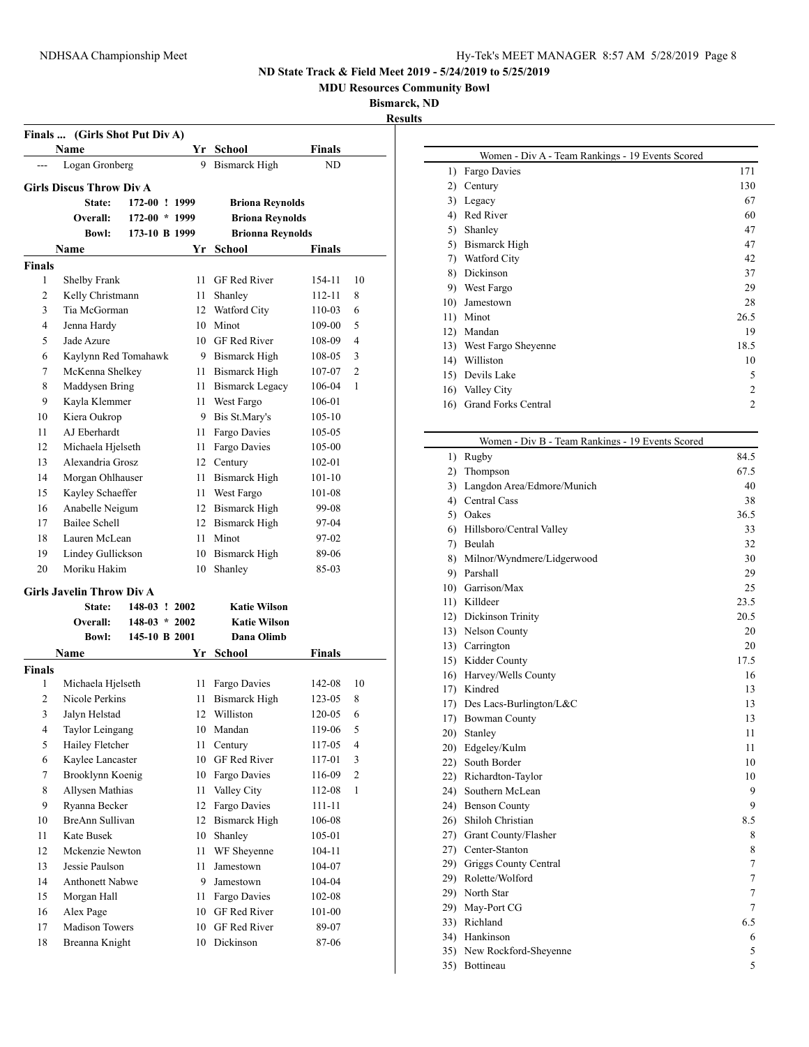**MDU Resources Community Bowl**

 $\overline{\phantom{0}}$ 

 $\overline{\phantom{0}}$ 

**Bismarck, ND**

| Finals  (Girls Shot Put Div A) |                                  |                 |      |                         |               |                          |  |
|--------------------------------|----------------------------------|-----------------|------|-------------------------|---------------|--------------------------|--|
|                                | Name                             |                 |      | Yr School               | Finals        |                          |  |
|                                | Logan Gronberg                   |                 | 9    | <b>Bismarck High</b>    | ND            |                          |  |
|                                | <b>Girls Discus Throw Div A</b>  |                 |      |                         |               |                          |  |
|                                | <b>State:</b>                    | 172-00 ! 1999   |      | <b>Briona Revnolds</b>  |               |                          |  |
|                                | <b>Overall:</b>                  | $172-00 * 1999$ |      | <b>Briona Reynolds</b>  |               |                          |  |
|                                | <b>Bowl:</b>                     | 173-10 B 1999   |      | <b>Brionna Reynolds</b> |               |                          |  |
|                                | Name                             |                 | Yr   | <b>School</b>           | Finals        |                          |  |
| Finals                         |                                  |                 |      |                         |               |                          |  |
| 1                              | Shelby Frank                     |                 | 11   | <b>GF Red River</b>     | 154-11        | 10                       |  |
| 2                              | Kelly Christmann                 |                 | 11   | Shanley                 | 112-11        | 8                        |  |
| 3                              | Tia McGorman                     |                 |      | 12 Watford City         | 110-03        | 6                        |  |
| 4                              | Jenna Hardy                      |                 |      | 10 Minot                | 109-00        | 5                        |  |
| 5                              | Jade Azure                       |                 |      | 10 GF Red River         | 108-09        | $\overline{4}$           |  |
| 6                              | Kaylynn Red Tomahawk             |                 |      | 9 Bismarck High         | 108-05        | 3                        |  |
| 7                              | McKenna Shelkey                  |                 |      | 11 Bismarck High        | 107-07        | $\overline{2}$           |  |
| 8                              | Maddysen Bring                   |                 |      | 11 Bismarck Legacy      | 106-04        | 1                        |  |
| 9                              | Kayla Klemmer                    |                 | 11 - | West Fargo              | 106-01        |                          |  |
| 10                             | Kiera Oukrop                     |                 |      | 9 Bis St.Mary's         | 105-10        |                          |  |
| 11                             | AJ Eberhardt                     |                 | 11   | Fargo Davies            | 105-05        |                          |  |
| 12                             | Michaela Hjelseth                |                 | 11   | Fargo Davies            | 105-00        |                          |  |
| 13                             | Alexandria Grosz                 |                 |      | 12 Century              | 102-01        |                          |  |
| 14                             | Morgan Ohlhauser                 |                 | 11   | <b>Bismarck High</b>    | 101-10        |                          |  |
| 15                             | Kayley Schaeffer                 |                 |      | 11 West Fargo           | 101-08        |                          |  |
| 16                             | Anabelle Neigum                  |                 |      | 12 Bismarck High        | 99-08         |                          |  |
| 17                             | Bailee Schell                    |                 |      | 12 Bismarck High        | 97-04         |                          |  |
| 18                             | Lauren McLean                    |                 |      | 11 Minot                | 97-02         |                          |  |
| 19                             | Lindey Gullickson                |                 |      | 10 Bismarck High        | 89-06         |                          |  |
| 20                             | Moriku Hakim                     |                 | 10   | Shanley                 | 85-03         |                          |  |
|                                | <b>Girls Javelin Throw Div A</b> |                 |      |                         |               |                          |  |
|                                | <b>State:</b>                    | 148-03 ! 2002   |      | <b>Katie Wilson</b>     |               |                          |  |
|                                | Overall:                         | $148-03 * 2002$ |      | <b>Katie Wilson</b>     |               |                          |  |
|                                | Bowl:                            | 145-10 B 2001   |      | Dana Olimb              |               |                          |  |
|                                | Name                             |                 |      | Yr School               | <b>Finals</b> |                          |  |
| <b>Finals</b>                  |                                  |                 |      |                         |               |                          |  |
| 1                              | Michaela Hjelseth                |                 | 11   | Fargo Davies            | 142-08        | 10                       |  |
| 2                              | Nicole Perkins                   |                 | 11   | <b>Bismarck High</b>    | 123-05        | 8                        |  |
| 3                              | Jalyn Helstad                    |                 | 12   | Williston               | 120-05        | 6                        |  |
| $\overline{\mathcal{L}}$       | Taylor Leingang                  |                 | 10   | Mandan                  | 119-06        | 5                        |  |
| 5                              | Hailey Fletcher                  |                 | 11   | Century                 | 117-05        | $\overline{\mathcal{A}}$ |  |
| 6                              | Kaylee Lancaster                 |                 | 10   | GF Red River            | 117-01        | 3                        |  |
| 7                              | Brooklynn Koenig                 |                 | 10   | Fargo Davies            | 116-09        | $\overline{2}$           |  |
| 8                              | Allysen Mathias                  |                 | 11   | Valley City             | 112-08        | 1                        |  |
| 9                              | Ryanna Becker                    |                 | 12   | Fargo Davies            | $111 - 11$    |                          |  |
| 10                             | BreAnn Sullivan                  |                 | 12   | <b>Bismarck High</b>    | 106-08        |                          |  |
| 11                             | Kate Busek                       |                 | 10   | Shanley                 | 105-01        |                          |  |
| 12                             | Mckenzie Newton                  |                 | 11   | WF Sheyenne             | 104-11        |                          |  |
| 13                             | Jessie Paulson                   |                 | 11   | Jamestown               | 104-07        |                          |  |
| 14                             | <b>Anthonett Nabwe</b>           |                 | 9    | Jamestown               | 104-04        |                          |  |
| 15                             | Morgan Hall                      |                 | 11   | Fargo Davies            | 102-08        |                          |  |
| 16                             | Alex Page                        |                 |      | 10 GF Red River         | 101-00        |                          |  |
| 17                             | <b>Madison Towers</b>            |                 | 10   | GF Red River            | 89-07         |                          |  |
| 18                             | Breanna Knight                   |                 | 10   | Dickinson               | 87-06         |                          |  |

|                              | Women - Div A - Team Rankings - 19 Events Scored |                |  |  |  |  |  |
|------------------------------|--------------------------------------------------|----------------|--|--|--|--|--|
| $\left( \frac{1}{2} \right)$ | Fargo Davies                                     | 171            |  |  |  |  |  |
| 2)                           | Century                                          | 130            |  |  |  |  |  |
| 3)                           | Legacy                                           | 67             |  |  |  |  |  |
| 4)                           | Red River                                        | 60             |  |  |  |  |  |
| 5)                           | Shanley                                          | 47             |  |  |  |  |  |
| 5)                           | Bismarck High                                    | 47             |  |  |  |  |  |
| 7)                           | Watford City                                     | 42             |  |  |  |  |  |
| 8)                           | Dickinson                                        | 37             |  |  |  |  |  |
| 9)                           | West Fargo                                       | 29             |  |  |  |  |  |
| 10)                          | Jamestown                                        | 28             |  |  |  |  |  |
| 11)                          | Minot                                            | 26.5           |  |  |  |  |  |
| 12)                          | Mandan                                           | 19             |  |  |  |  |  |
| 13)                          | West Fargo Sheyenne                              | 18.5           |  |  |  |  |  |
| 14)                          | Williston                                        | 10             |  |  |  |  |  |
| 15)                          | Devils Lake                                      | 5              |  |  |  |  |  |
| 16)                          | Valley City                                      | $\mathfrak{D}$ |  |  |  |  |  |
| 16)                          | <b>Grand Forks Central</b>                       | $\mathfrak{D}$ |  |  |  |  |  |
|                              |                                                  |                |  |  |  |  |  |

|     | Women - Div B - Team Rankings - 19 Events Scored |                |  |  |  |
|-----|--------------------------------------------------|----------------|--|--|--|
| 1)  | Rugby                                            | 84.5           |  |  |  |
| 2)  | Thompson                                         | 67.5           |  |  |  |
| 3)  | Langdon Area/Edmore/Munich<br>40                 |                |  |  |  |
|     | 4) Central Cass                                  | 38             |  |  |  |
|     | 5) Oakes                                         | 36.5           |  |  |  |
| 6)  | Hillsboro/Central Valley                         | 33             |  |  |  |
|     | 7) Beulah                                        | 32             |  |  |  |
|     | 8) Milnor/Wyndmere/Lidgerwood                    | 30             |  |  |  |
|     | 9) Parshall                                      | 29             |  |  |  |
|     | 10) Garrison/Max                                 | 25             |  |  |  |
|     | 11) Killdeer                                     | 23.5           |  |  |  |
|     | 12) Dickinson Trinity                            | 20.5           |  |  |  |
|     | 13) Nelson County                                | 20             |  |  |  |
|     | 13) Carrington                                   | 20             |  |  |  |
|     | 15) Kidder County                                | 17.5           |  |  |  |
|     | 16) Harvey/Wells County                          | 16             |  |  |  |
|     | 17) Kindred                                      | 13             |  |  |  |
|     | 17) Des Lacs-Burlington/L&C                      | 13             |  |  |  |
|     | 17) Bowman County                                | 13             |  |  |  |
|     | 20) Stanley                                      | 11             |  |  |  |
|     | 20) Edgeley/Kulm                                 | 11             |  |  |  |
|     | 22) South Border                                 | 10             |  |  |  |
|     | 22) Richardton-Taylor                            | 10             |  |  |  |
|     | 24) Southern McLean                              | 9              |  |  |  |
|     | 24) Benson County                                | 9              |  |  |  |
|     | 26) Shiloh Christian                             | 8.5            |  |  |  |
|     | 27) Grant County/Flasher                         | 8              |  |  |  |
|     | 27) Center-Stanton                               | 8              |  |  |  |
|     | 29) Griggs County Central                        | $\overline{7}$ |  |  |  |
|     | 29) Rolette/Wolford                              | $\overline{7}$ |  |  |  |
|     | 29) North Star                                   | $\overline{7}$ |  |  |  |
|     | 29) May-Port CG                                  | 7              |  |  |  |
|     | 33) Richland                                     | 6.5            |  |  |  |
|     | 34) Hankinson                                    | 6              |  |  |  |
| 35) | New Rockford-Sheyenne                            | 5              |  |  |  |
| 35) | Bottineau                                        | 5              |  |  |  |